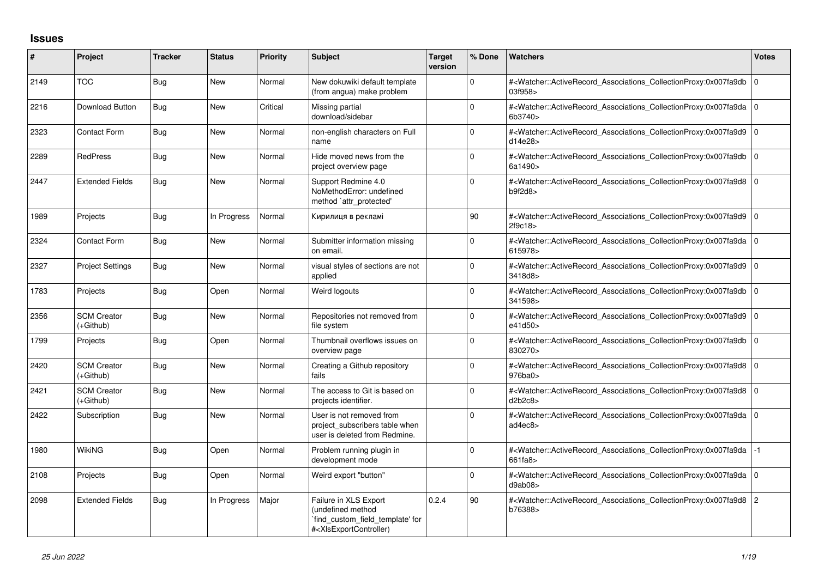## **Issues**

| #    | Project                         | <b>Tracker</b> | <b>Status</b> | <b>Priority</b> | <b>Subject</b>                                                                                                                                                                                                                                                                                                                         | <b>Target</b><br>version | % Done       | <b>Watchers</b>                                                                                                                                          | <b>Votes</b> |
|------|---------------------------------|----------------|---------------|-----------------|----------------------------------------------------------------------------------------------------------------------------------------------------------------------------------------------------------------------------------------------------------------------------------------------------------------------------------------|--------------------------|--------------|----------------------------------------------------------------------------------------------------------------------------------------------------------|--------------|
| 2149 | <b>TOC</b>                      | <b>Bug</b>     | <b>New</b>    | Normal          | New dokuwiki default template<br>(from angua) make problem                                                                                                                                                                                                                                                                             |                          | $\Omega$     | # <watcher::activerecord_associations_collectionproxy:0x007fa9db 0<br="">03f958&gt;</watcher::activerecord_associations_collectionproxy:0x007fa9db>      |              |
| 2216 | Download Button                 | Bug            | <b>New</b>    | Critical        | Missing partial<br>download/sidebar                                                                                                                                                                                                                                                                                                    |                          | $\Omega$     | # <watcher::activerecord 0<br="" associations="" collectionproxy:0x007fa9da=""  ="">6b3740&gt;</watcher::activerecord>                                   |              |
| 2323 | <b>Contact Form</b>             | Bug            | New           | Normal          | non-english characters on Full<br>name                                                                                                                                                                                                                                                                                                 |                          | $\Omega$     | # <watcher::activerecord_associations_collectionproxy:0x007fa9d9 0<br="">d14e28&gt;</watcher::activerecord_associations_collectionproxy:0x007fa9d9>      |              |
| 2289 | <b>RedPress</b>                 | Bug            | <b>New</b>    | Normal          | Hide moved news from the<br>project overview page                                                                                                                                                                                                                                                                                      |                          | $\Omega$     | # <watcher::activerecord_associations_collectionproxy:0x007fa9db 0<br="">6a1490&gt;</watcher::activerecord_associations_collectionproxy:0x007fa9db>      |              |
| 2447 | <b>Extended Fields</b>          | Bug            | New           | Normal          | Support Redmine 4.0<br>NoMethodError: undefined<br>method `attr_protected'                                                                                                                                                                                                                                                             |                          | $\mathbf{0}$ | # <watcher::activerecord_associations_collectionproxy:0x007fa9d8 0<br="">b9f2d8</watcher::activerecord_associations_collectionproxy:0x007fa9d8>          |              |
| 1989 | Projects                        | Bug            | In Progress   | Normal          | Кирилиця в рекламі                                                                                                                                                                                                                                                                                                                     |                          | 90           | # <watcher::activerecord 0<br="" associations="" collectionproxy:0x007fa9d9=""  ="">2f9c18&gt;</watcher::activerecord>                                   |              |
| 2324 | <b>Contact Form</b>             | Bug            | <b>New</b>    | Normal          | Submitter information missing<br>on email.                                                                                                                                                                                                                                                                                             |                          | $\Omega$     | # <watcher::activerecord 0<br="" associations="" collectionproxy:0x007fa9da=""  ="">615978&gt;</watcher::activerecord>                                   |              |
| 2327 | <b>Project Settings</b>         | Bug            | New           | Normal          | visual styles of sections are not<br>applied                                                                                                                                                                                                                                                                                           |                          | 0            | # <watcher::activerecord_associations_collectionproxy:0x007fa9d9 0<br="">3418d8&gt;</watcher::activerecord_associations_collectionproxy:0x007fa9d9>      |              |
| 1783 | Projects                        | Bug            | Open          | Normal          | Weird logouts                                                                                                                                                                                                                                                                                                                          |                          | $\Omega$     | # <watcher::activerecord 0<br="" associations="" collectionproxy:0x007fa9db=""  ="">341598&gt;</watcher::activerecord>                                   |              |
| 2356 | <b>SCM Creator</b><br>(+Github) | Bug            | <b>New</b>    | Normal          | Repositories not removed from<br>file system                                                                                                                                                                                                                                                                                           |                          | $\Omega$     | # <watcher::activerecord 0<br="" associations="" collectionproxy:0x007fa9d9=""  ="">e41d50&gt;</watcher::activerecord>                                   |              |
| 1799 | Projects                        | Bug            | Open          | Normal          | Thumbnail overflows issues on<br>overview page                                                                                                                                                                                                                                                                                         |                          | $\Omega$     | # <watcher::activerecord 0<br="" associations="" collectionproxy:0x007fa9db=""  ="">830270&gt;</watcher::activerecord>                                   |              |
| 2420 | <b>SCM Creator</b><br>(+Github) | Bug            | <b>New</b>    | Normal          | Creating a Github repository<br>fails                                                                                                                                                                                                                                                                                                  |                          | $\Omega$     | # <watcher::activerecord 0<br="" associations="" collectionproxy:0x007fa9d8=""  ="">976ba0&gt;</watcher::activerecord>                                   |              |
| 2421 | <b>SCM Creator</b><br>(+Github) | Bug            | <b>New</b>    | Normal          | The access to Git is based on<br>projects identifier.                                                                                                                                                                                                                                                                                  |                          | $\Omega$     | # <watcher::activerecord_associations_collectionproxy:0x007fa9d8 0<br="">d2b2c8</watcher::activerecord_associations_collectionproxy:0x007fa9d8>          |              |
| 2422 | Subscription                    | Bug            | New           | Normal          | User is not removed from<br>project subscribers table when<br>user is deleted from Redmine.                                                                                                                                                                                                                                            |                          | $\Omega$     | # <watcher::activerecord_associations_collectionproxy:0x007fa9da 0<br=""  ="">ad4ec8&gt;</watcher::activerecord_associations_collectionproxy:0x007fa9da> |              |
| 1980 | <b>WikiNG</b>                   | <b>Bug</b>     | Open          | Normal          | Problem running plugin in<br>development mode                                                                                                                                                                                                                                                                                          |                          | $\Omega$     | # <watcher::activerecord associations="" collectionproxy:0x007fa9da<br="">661fa8&gt;</watcher::activerecord>                                             | $-1$         |
| 2108 | Projects                        | Bug            | Open          | Normal          | Weird export "button"                                                                                                                                                                                                                                                                                                                  |                          | $\Omega$     | # <watcher::activerecord_associations_collectionproxy:0x007fa9da 0<br="">d9ab08</watcher::activerecord_associations_collectionproxy:0x007fa9da>          |              |
| 2098 | <b>Extended Fields</b>          | <b>Bug</b>     | In Progress   | Major           | Failure in XLS Export<br>(undefined method<br>`find_custom_field_template' for<br># <xlsexportcontroller)< td=""><td>0.2.4</td><td>90</td><td>#<watcher::activerecord_associations_collectionproxy:0x007fa9d8 2<br="">b76388&gt;</watcher::activerecord_associations_collectionproxy:0x007fa9d8></td><td></td></xlsexportcontroller)<> | 0.2.4                    | 90           | # <watcher::activerecord_associations_collectionproxy:0x007fa9d8 2<br="">b76388&gt;</watcher::activerecord_associations_collectionproxy:0x007fa9d8>      |              |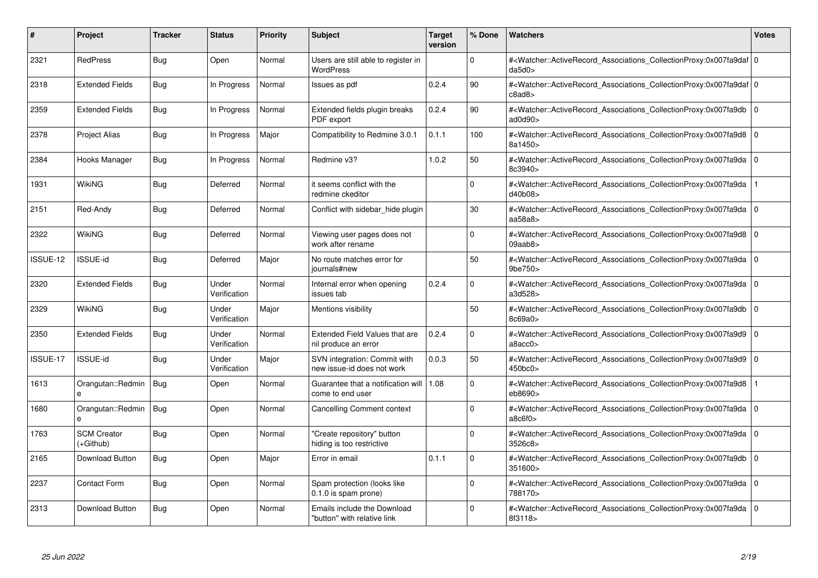| #        | Project                         | <b>Tracker</b> | <b>Status</b>         | <b>Priority</b> | <b>Subject</b>                                             | <b>Target</b><br>version | % Done   | <b>Watchers</b>                                                                                                                                                          | <b>Votes</b>   |
|----------|---------------------------------|----------------|-----------------------|-----------------|------------------------------------------------------------|--------------------------|----------|--------------------------------------------------------------------------------------------------------------------------------------------------------------------------|----------------|
| 2321     | <b>RedPress</b>                 | <b>Bug</b>     | Open                  | Normal          | Users are still able to register in<br><b>WordPress</b>    |                          | $\Omega$ | # <watcher::activerecord 0<br="" associations="" collectionproxy:0x007fa9daf=""  ="">da5d0</watcher::activerecord>                                                       |                |
| 2318     | <b>Extended Fields</b>          | Bug            | In Progress           | Normal          | Issues as pdf                                              | 0.2.4                    | 90       | # <watcher::activerecord 0<br="" associations="" collectionproxy:0x007fa9daf=""  ="">c8ad8&gt;</watcher::activerecord>                                                   |                |
| 2359     | <b>Extended Fields</b>          | <b>Bug</b>     | In Progress           | Normal          | Extended fields plugin breaks<br>PDF export                | 0.2.4                    | 90       | # <watcher::activerecord_associations_collectionproxy:0x007fa9db<br>ad0d90&gt;</watcher::activerecord_associations_collectionproxy:0x007fa9db<br>                        | $\overline{0}$ |
| 2378     | <b>Project Alias</b>            | Bug            | In Progress           | Major           | Compatibility to Redmine 3.0.1                             | 0.1.1                    | 100      | # <watcher::activerecord_associations_collectionproxy:0x007fa9d8 0<br="">8a1450&gt;</watcher::activerecord_associations_collectionproxy:0x007fa9d8>                      |                |
| 2384     | Hooks Manager                   | <b>Bug</b>     | In Progress           | Normal          | Redmine v3?                                                | 1.0.2                    | 50       | # <watcher::activerecord_associations_collectionproxy:0x007fa9da<br>8c3940&gt;</watcher::activerecord_associations_collectionproxy:0x007fa9da<br>                        | 0              |
| 1931     | <b>WikiNG</b>                   | <b>Bug</b>     | Deferred              | Normal          | it seems conflict with the<br>redmine ckeditor             |                          | $\Omega$ | # <watcher::activerecord_associations_collectionproxy:0x007fa9da<br>d40b08&gt;</watcher::activerecord_associations_collectionproxy:0x007fa9da<br>                        |                |
| 2151     | Red-Andy                        | Bug            | Deferred              | Normal          | Conflict with sidebar_hide plugin                          |                          | 30       | # <watcher::activerecord associations="" collectionproxy:0x007fa9da<br="">aa58a8&gt;</watcher::activerecord>                                                             | 0 I            |
| 2322     | WikiNG                          | Bug            | Deferred              | Normal          | Viewing user pages does not<br>work after rename           |                          | $\Omega$ | # <watcher::activerecord associations="" collectionproxy:0x007fa9d8<br="">09aab8</watcher::activerecord>                                                                 | l o            |
| ISSUE-12 | ISSUE-id                        | <b>Bug</b>     | Deferred              | Major           | No route matches error for<br>journals#new                 |                          | 50       | # <watcher::activerecord_associations_collectionproxy:0x007fa9da<br>9be750&gt;</watcher::activerecord_associations_collectionproxy:0x007fa9da<br>                        | $\overline{0}$ |
| 2320     | <b>Extended Fields</b>          | <b>Bug</b>     | Under<br>Verification | Normal          | Internal error when opening<br>issues tab                  | 0.2.4                    | $\Omega$ | # <watcher::activerecord 0<br="" associations="" collectionproxy:0x007fa9da=""  ="">a3d528&gt;</watcher::activerecord>                                                   |                |
| 2329     | <b>WikiNG</b>                   | <b>Bug</b>     | Under<br>Verification | Major           | Mentions visibility                                        |                          | 50       | # <watcher::activerecord_associations_collectionproxy:0x007fa9db<br>8c69a0&gt;</watcher::activerecord_associations_collectionproxy:0x007fa9db<br>                        | l O            |
| 2350     | <b>Extended Fields</b>          | Bug            | Under<br>Verification | Normal          | Extended Field Values that are<br>nil produce an error     | 0.2.4                    | $\Omega$ | # <watcher::activerecord_associations_collectionproxy:0x007fa9d9 0<br=""  =""><math>a\text{Bacc0}</math></watcher::activerecord_associations_collectionproxy:0x007fa9d9> |                |
| ISSUE-17 | <b>ISSUE-id</b>                 | <b>Bug</b>     | Under<br>Verification | Major           | SVN integration: Commit with<br>new issue-id does not work | 0.0.3                    | 50       | # <watcher::activerecord associations="" collectionproxy:0x007fa9d9<br="">450bc0&gt;</watcher::activerecord>                                                             | l O            |
| 1613     | Orangutan::Redmin<br>e          | Bug            | Open                  | Normal          | Guarantee that a notification will<br>come to end user     | 1.08                     | $\Omega$ | # <watcher::activerecord_associations_collectionproxy:0x007fa9d8<br>eb8690&gt;</watcher::activerecord_associations_collectionproxy:0x007fa9d8<br>                        |                |
| 1680     | Orangutan::Redmin               | <b>Bug</b>     | Open                  | Normal          | Cancelling Comment context                                 |                          | $\Omega$ | # <watcher::activerecord associations="" collectionproxy:0x007fa9da<br="">a8c6f0</watcher::activerecord>                                                                 | l O            |
| 1763     | <b>SCM Creator</b><br>(+Github) | Bug            | Open                  | Normal          | "Create repository" button<br>hiding is too restrictive    |                          | $\Omega$ | # <watcher::activerecord_associations_collectionproxy:0x007fa9da<br>3526c8&gt;</watcher::activerecord_associations_collectionproxy:0x007fa9da<br>                        | 0              |
| 2165     | Download Button                 | <b>Bug</b>     | Open                  | Major           | Error in email                                             | 0.1.1                    | $\Omega$ | # <watcher::activerecord_associations_collectionproxy:0x007fa9db<br>351600&gt;</watcher::activerecord_associations_collectionproxy:0x007fa9db<br>                        | 0 I            |
| 2237     | <b>Contact Form</b>             | <b>Bug</b>     | Open                  | Normal          | Spam protection (looks like<br>$0.1.0$ is spam prone)      |                          | $\Omega$ | # <watcher::activerecord associations="" collectionproxy:0x007fa9da<br="">788170&gt;</watcher::activerecord>                                                             | l O            |
| 2313     | Download Button                 | <b>Bug</b>     | Open                  | Normal          | Emails include the Download<br>"button" with relative link |                          | $\Omega$ | # <watcher::activerecord_associations_collectionproxy:0x007fa9da 0<br=""  ="">8f3118&gt;</watcher::activerecord_associations_collectionproxy:0x007fa9da>                 |                |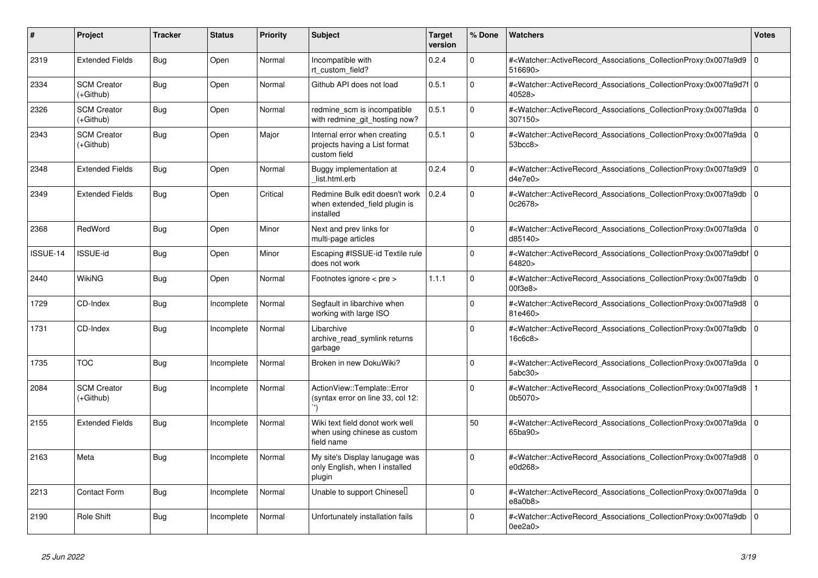| $\#$     | Project                         | <b>Tracker</b> | <b>Status</b> | <b>Priority</b> | <b>Subject</b>                                                                | <b>Target</b><br>version | % Done       | Watchers                                                                                                                                                            | <b>Votes</b> |
|----------|---------------------------------|----------------|---------------|-----------------|-------------------------------------------------------------------------------|--------------------------|--------------|---------------------------------------------------------------------------------------------------------------------------------------------------------------------|--------------|
| 2319     | <b>Extended Fields</b>          | Bug            | Open          | Normal          | Incompatible with<br>rt custom field?                                         | 0.2.4                    | $\Omega$     | # <watcher::activerecord associations="" collectionproxy:0x007fa9d9<br="">516690&gt;</watcher::activerecord>                                                        | $\mathbf 0$  |
| 2334     | <b>SCM Creator</b><br>(+Github) | <b>Bug</b>     | Open          | Normal          | Github API does not load                                                      | 0.5.1                    | $\Omega$     | # <watcher::activerecord_associations_collectionproxy:0x007fa9d7f 0<br=""  ="">40528&gt;</watcher::activerecord_associations_collectionproxy:0x007fa9d7f>           |              |
| 2326     | <b>SCM Creator</b><br>(+Github) | Bug            | Open          | Normal          | redmine scm is incompatible<br>with redmine git hosting now?                  | 0.5.1                    | $\Omega$     | # <watcher::activerecord_associations_collectionproxy:0x007fa9da 0<br=""  ="">307150&gt;</watcher::activerecord_associations_collectionproxy:0x007fa9da>            |              |
| 2343     | <b>SCM Creator</b><br>(+Github) | Bug            | Open          | Major           | Internal error when creating<br>projects having a List format<br>custom field | 0.5.1                    | $\Omega$     | # <watcher::activerecord_associations_collectionproxy:0x007fa9da 0<br=""  ="">53bcc8</watcher::activerecord_associations_collectionproxy:0x007fa9da>                |              |
| 2348     | <b>Extended Fields</b>          | <b>Bug</b>     | Open          | Normal          | Buggy implementation at<br>list.html.erb                                      | 0.2.4                    | $\Omega$     | # <watcher::activerecord_associations_collectionproxy:0x007fa9d9  <br="">d4e7e0</watcher::activerecord_associations_collectionproxy:0x007fa9d9>                     | $\Omega$     |
| 2349     | <b>Extended Fields</b>          | Bug            | Open          | Critical        | Redmine Bulk edit doesn't work<br>when extended field plugin is<br>installed  | 0.2.4                    | $\Omega$     | # <watcher::activerecord associations="" collectionproxy:0x007fa9db<br="">0c2678&gt;</watcher::activerecord>                                                        | $\mathbf 0$  |
| 2368     | RedWord                         | <b>Bug</b>     | Open          | Minor           | Next and prev links for<br>multi-page articles                                |                          | $\Omega$     | # <watcher::activerecord_associations_collectionproxy:0x007fa9da 0<br=""  ="">d85140&gt;</watcher::activerecord_associations_collectionproxy:0x007fa9da>            |              |
| ISSUE-14 | <b>ISSUE-id</b>                 | Bug            | Open          | Minor           | Escaping #ISSUE-id Textile rule<br>does not work                              |                          | $\Omega$     | # <watcher::activerecord_associations_collectionproxy:0x007fa9dbf 0<br=""  ="">64820&gt;</watcher::activerecord_associations_collectionproxy:0x007fa9dbf>           |              |
| 2440     | <b>WikiNG</b>                   | <b>Bug</b>     | Open          | Normal          | Footnotes ignore < pre >                                                      | 1.1.1                    | $\Omega$     | # <watcher::activerecord_associations_collectionproxy:0x007fa9db 0<br=""  ="">00f3e8</watcher::activerecord_associations_collectionproxy:0x007fa9db>                |              |
| 1729     | CD-Index                        | Bug            | Incomplete    | Normal          | Segfault in libarchive when<br>working with large ISO                         |                          | $\Omega$     | # <watcher::activerecord_associations_collectionproxy:0x007fa9d8<br>81e460&gt;</watcher::activerecord_associations_collectionproxy:0x007fa9d8<br>                   | $\mathbf 0$  |
| 1731     | CD-Index                        | Bug            | Incomplete    | Normal          | Libarchive<br>archive read symlink returns<br>garbage                         |                          | $\Omega$     | # <watcher::activerecord_associations_collectionproxy:0x007fa9db  <br="">16c6c8&gt;</watcher::activerecord_associations_collectionproxy:0x007fa9db>                 | $\Omega$     |
| 1735     | <b>TOC</b>                      | Bug            | Incomplete    | Normal          | Broken in new DokuWiki?                                                       |                          | $\mathbf 0$  | # <watcher::activerecord_associations_collectionproxy:0x007fa9da 0<br=""  ="">5abc30<sub>&gt;</sub></watcher::activerecord_associations_collectionproxy:0x007fa9da> |              |
| 2084     | <b>SCM Creator</b><br>(+Github) | <b>Bug</b>     | Incomplete    | Normal          | ActionView::Template::Error<br>(syntax error on line 33, col 12:              |                          | $\mathbf{0}$ | # <watcher::activerecord_associations_collectionproxy:0x007fa9d8<br>0b5070&gt;</watcher::activerecord_associations_collectionproxy:0x007fa9d8<br>                   |              |
| 2155     | <b>Extended Fields</b>          | <b>Bug</b>     | Incomplete    | Normal          | Wiki text field donot work well<br>when using chinese as custom<br>field name |                          | 50           | # <watcher::activerecord_associations_collectionproxy:0x007fa9da 0<br=""  ="">65ba90&gt;</watcher::activerecord_associations_collectionproxy:0x007fa9da>            |              |
| 2163     | Meta                            | Bug            | Incomplete    | Normal          | My site's Display lanugage was<br>only English, when I installed<br>plugin    |                          | $\mathbf 0$  | # <watcher::activerecord_associations_collectionproxy:0x007fa9d8 0<br=""  ="">e0d268&gt;</watcher::activerecord_associations_collectionproxy:0x007fa9d8>            |              |
| 2213     | <b>Contact Form</b>             | Bug            | Incomplete    | Normal          | Unable to support Chinese <sup>[]</sup>                                       |                          | $\Omega$     | # <watcher::activerecord 0<br="" associations="" collectionproxy:0x007fa9da=""  ="">e8a0b8</watcher::activerecord>                                                  |              |
| 2190     | Role Shift                      | Bug            | Incomplete    | Normal          | Unfortunately installation fails                                              |                          | $\Omega$     | # <watcher::activerecord associations="" collectionproxy:0x007fa9db<br="">0ee2a0&gt;</watcher::activerecord>                                                        | $\Omega$     |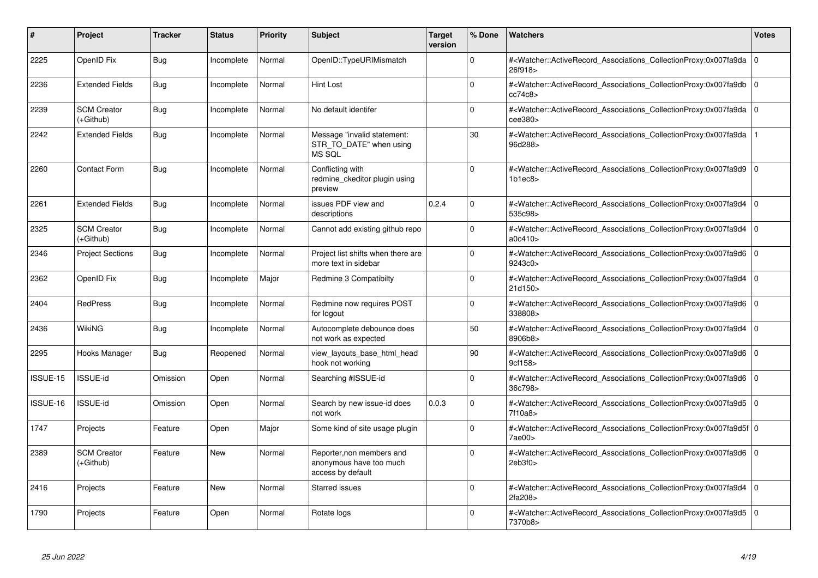| #        | Project                         | <b>Tracker</b> | <b>Status</b> | <b>Priority</b> | <b>Subject</b>                                                            | <b>Target</b><br>version | % Done       | <b>Watchers</b>                                                                                                                                                     | <b>Votes</b>   |
|----------|---------------------------------|----------------|---------------|-----------------|---------------------------------------------------------------------------|--------------------------|--------------|---------------------------------------------------------------------------------------------------------------------------------------------------------------------|----------------|
| 2225     | OpenID Fix                      | Bug            | Incomplete    | Normal          | OpenID::TypeURIMismatch                                                   |                          | $\Omega$     | # <watcher::activerecord 0<br="" associations="" collectionproxy:0x007fa9da=""  ="">26f918&gt;</watcher::activerecord>                                              |                |
| 2236     | <b>Extended Fields</b>          | <b>Bug</b>     | Incomplete    | Normal          | Hint Lost                                                                 |                          | $\Omega$     | # <watcher::activerecord_associations_collectionproxy:0x007fa9db 0<br=""  ="">cc74c8&gt;</watcher::activerecord_associations_collectionproxy:0x007fa9db>            |                |
| 2239     | <b>SCM Creator</b><br>(+Github) | <b>Bug</b>     | Incomplete    | Normal          | No default identifer                                                      |                          | $\Omega$     | # <watcher::activerecord_associations_collectionproxy:0x007fa9da 0<br="">cee380&gt;</watcher::activerecord_associations_collectionproxy:0x007fa9da>                 |                |
| 2242     | <b>Extended Fields</b>          | <b>Bug</b>     | Incomplete    | Normal          | Message "invalid statement:<br>STR_TO_DATE" when using<br>MS SQL          |                          | 30           | # <watcher::activerecord_associations_collectionproxy:0x007fa9da<br>96d288&gt;</watcher::activerecord_associations_collectionproxy:0x007fa9da<br>                   |                |
| 2260     | <b>Contact Form</b>             | <b>Bug</b>     | Incomplete    | Normal          | Conflicting with<br>redmine ckeditor plugin using<br>preview              |                          | $\Omega$     | # <watcher::activerecord 0<br="" associations="" collectionproxy:0x007fa9d9=""  ="">1b1ec8</watcher::activerecord>                                                  |                |
| 2261     | <b>Extended Fields</b>          | Bug            | Incomplete    | Normal          | issues PDF view and<br>descriptions                                       | 0.2.4                    | $\Omega$     | # <watcher::activerecord_associations_collectionproxy:0x007fa9d4 0<br=""  ="">535c98&gt;</watcher::activerecord_associations_collectionproxy:0x007fa9d4>            |                |
| 2325     | <b>SCM Creator</b><br>(+Github) | <b>Bug</b>     | Incomplete    | Normal          | Cannot add existing github repo                                           |                          | $\Omega$     | # <watcher::activerecord_associations_collectionproxy:0x007fa9d4 0<br=""  ="">a0c410&gt;</watcher::activerecord_associations_collectionproxy:0x007fa9d4>            |                |
| 2346     | <b>Project Sections</b>         | Bug            | Incomplete    | Normal          | Project list shifts when there are<br>more text in sidebar                |                          | $\Omega$     | # <watcher::activerecord 0<br="" associations="" collectionproxy:0x007fa9d6=""  ="">9243c0&gt;</watcher::activerecord>                                              |                |
| 2362     | OpenID Fix                      | Bug            | Incomplete    | Major           | <b>Redmine 3 Compatibilty</b>                                             |                          | $\Omega$     | # <watcher::activerecord_associations_collectionproxy:0x007fa9d4<br>21d150&gt;</watcher::activerecord_associations_collectionproxy:0x007fa9d4<br>                   | $\overline{0}$ |
| 2404     | <b>RedPress</b>                 | Bug            | Incomplete    | Normal          | Redmine now requires POST<br>for logout                                   |                          | $\Omega$     | # <watcher::activerecord 0<br="" associations="" collectionproxy:0x007fa9d6=""  ="">338808&gt;</watcher::activerecord>                                              |                |
| 2436     | WikiNG                          | Bug            | Incomplete    | Normal          | Autocomplete debounce does<br>not work as expected                        |                          | 50           | # <watcher::activerecord_associations_collectionproxy:0x007fa9d4 0<br=""  ="">8906b8&gt;</watcher::activerecord_associations_collectionproxy:0x007fa9d4>            |                |
| 2295     | Hooks Manager                   | <b>Bug</b>     | Reopened      | Normal          | view_layouts_base_html_head<br>hook not working                           |                          | 90           | # <watcher::activerecord_associations_collectionproxy:0x007fa9d6 0<br=""  ="">9cf158&gt;</watcher::activerecord_associations_collectionproxy:0x007fa9d6>            |                |
| ISSUE-15 | <b>ISSUE-id</b>                 | Omission       | Open          | Normal          | Searching #ISSUE-id                                                       |                          | $\Omega$     | # <watcher::activerecord_associations_collectionproxy:0x007fa9d6<br>36c798&gt;</watcher::activerecord_associations_collectionproxy:0x007fa9d6<br>                   | $\overline{0}$ |
| ISSUE-16 | <b>ISSUE-id</b>                 | Omission       | Open          | Normal          | Search by new issue-id does<br>not work                                   | 0.0.3                    | $\Omega$     | # <watcher::activerecord_associations_collectionproxy:0x007fa9d5 0<br=""  ="">7f10a8&gt;</watcher::activerecord_associations_collectionproxy:0x007fa9d5>            |                |
| 1747     | Projects                        | Feature        | Open          | Major           | Some kind of site usage plugin                                            |                          | $\Omega$     | # <watcher::activerecord_associations_collectionproxy:0x007fa9d5f 0<br=""  ="">7ae00&gt;</watcher::activerecord_associations_collectionproxy:0x007fa9d5f>           |                |
| 2389     | <b>SCM Creator</b><br>(+Github) | Feature        | New           | Normal          | Reporter, non members and<br>anonymous have too much<br>access by default |                          | $\mathbf{0}$ | # <watcher::activerecord_associations_collectionproxy:0x007fa9d6 0<br=""  ="">2eb3f0<sub>&gt;</sub></watcher::activerecord_associations_collectionproxy:0x007fa9d6> |                |
| 2416     | Projects                        | Feature        | <b>New</b>    | Normal          | <b>Starred issues</b>                                                     |                          | $\Omega$     | # <watcher::activerecord_associations_collectionproxy:0x007fa9d4 0<br=""  ="">2fa208&gt;</watcher::activerecord_associations_collectionproxy:0x007fa9d4>            |                |
| 1790     | Projects                        | Feature        | Open          | Normal          | Rotate logs                                                               |                          | $\Omega$     | # <watcher::activerecord_associations_collectionproxy:0x007fa9d5<br>7370b8&gt;</watcher::activerecord_associations_collectionproxy:0x007fa9d5<br>                   | $\overline{0}$ |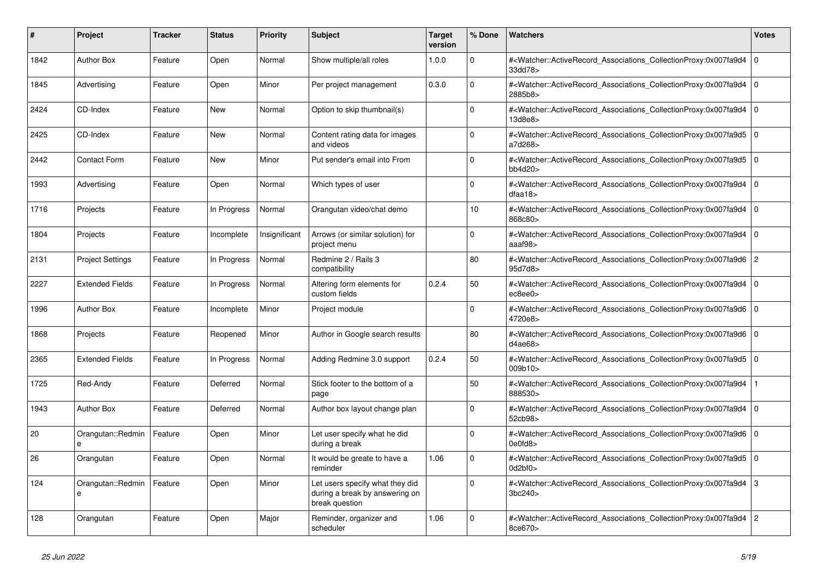| $\#$ | <b>Project</b>                | <b>Tracker</b> | <b>Status</b> | <b>Priority</b> | <b>Subject</b>                                                                      | <b>Target</b><br>version | % Done      | Watchers                                                                                                                                          | <b>Votes</b>   |
|------|-------------------------------|----------------|---------------|-----------------|-------------------------------------------------------------------------------------|--------------------------|-------------|---------------------------------------------------------------------------------------------------------------------------------------------------|----------------|
| 1842 | <b>Author Box</b>             | Feature        | Open          | Normal          | Show multiple/all roles                                                             | 1.0.0                    | $\Omega$    | # <watcher::activerecord associations="" collectionproxy:0x007fa9d4<br="">33dd78&gt;</watcher::activerecord>                                      | 0 I            |
| 1845 | Advertising                   | Feature        | Open          | Minor           | Per project management                                                              | 0.3.0                    | $\Omega$    | # <watcher::activerecord_associations_collectionproxy:0x007fa9d4<br>2885b8&gt;</watcher::activerecord_associations_collectionproxy:0x007fa9d4<br> | 0              |
| 2424 | CD-Index                      | Feature        | New           | Normal          | Option to skip thumbnail(s)                                                         |                          | $\Omega$    | # <watcher::activerecord_associations_collectionproxy:0x007fa9d4<br>13d8e8&gt;</watcher::activerecord_associations_collectionproxy:0x007fa9d4<br> | l O            |
| 2425 | CD-Index                      | Feature        | <b>New</b>    | Normal          | Content rating data for images<br>and videos                                        |                          | $\Omega$    | # <watcher::activerecord associations="" collectionproxy:0x007fa9d5<br="">a7d268&gt;</watcher::activerecord>                                      | l o            |
| 2442 | <b>Contact Form</b>           | Feature        | New           | Minor           | Put sender's email into From                                                        |                          | $\mathbf 0$ | # <watcher::activerecord_associations_collectionproxy:0x007fa9d5<br>bb4d20</watcher::activerecord_associations_collectionproxy:0x007fa9d5<br>     | 0              |
| 1993 | Advertising                   | Feature        | Open          | Normal          | Which types of user                                                                 |                          | $\Omega$    | # <watcher::activerecord associations="" collectionproxy:0x007fa9d4<br="">dfaa18</watcher::activerecord>                                          | 0              |
| 1716 | Projects                      | Feature        | In Progress   | Normal          | Orangutan video/chat demo                                                           |                          | 10          | # <watcher::activerecord associations="" collectionproxy:0x007fa9d4<br="">868c80&gt;</watcher::activerecord>                                      | $\overline{0}$ |
| 1804 | Projects                      | Feature        | Incomplete    | Insignificant   | Arrows (or similar solution) for<br>project menu                                    |                          | $\Omega$    | # <watcher::activerecord_associations_collectionproxy:0x007fa9d4<br>aaaf98&gt;</watcher::activerecord_associations_collectionproxy:0x007fa9d4<br> | 0 I            |
| 2131 | <b>Project Settings</b>       | Feature        | In Progress   | Normal          | Redmine 2 / Rails 3<br>compatibility                                                |                          | 80          | # <watcher::activerecord associations="" collectionproxy:0x007fa9d6<br="">95d7d8&gt;</watcher::activerecord>                                      | 2              |
| 2227 | <b>Extended Fields</b>        | Feature        | In Progress   | Normal          | Altering form elements for<br>custom fields                                         | 0.2.4                    | 50          | # <watcher::activerecord_associations_collectionproxy:0x007fa9d4<br>ec8ee0&gt;</watcher::activerecord_associations_collectionproxy:0x007fa9d4<br> | $\overline{0}$ |
| 1996 | <b>Author Box</b>             | Feature        | Incomplete    | Minor           | Project module                                                                      |                          | $\Omega$    | # <watcher::activerecord associations="" collectionproxy:0x007fa9d6<br="">4720e8&gt;</watcher::activerecord>                                      | l O            |
| 1868 | Projects                      | Feature        | Reopened      | Minor           | Author in Google search results                                                     |                          | 80          | # <watcher::activerecord_associations_collectionproxy:0x007fa9d6<br>d4ae68&gt;</watcher::activerecord_associations_collectionproxy:0x007fa9d6<br> | l o            |
| 2365 | <b>Extended Fields</b>        | Feature        | In Progress   | Normal          | Adding Redmine 3.0 support                                                          | 0.2.4                    | 50          | # <watcher::activerecord associations="" collectionproxy:0x007fa9d5<br="">009b10</watcher::activerecord>                                          | ۱o             |
| 1725 | Red-Andy                      | Feature        | Deferred      | Normal          | Stick footer to the bottom of a<br>page                                             |                          | 50          | # <watcher::activerecord_associations_collectionproxy:0x007fa9d4<br>888530&gt;</watcher::activerecord_associations_collectionproxy:0x007fa9d4<br> |                |
| 1943 | <b>Author Box</b>             | Feature        | Deferred      | Normal          | Author box layout change plan                                                       |                          | $\mathbf 0$ | # <watcher::activerecord associations="" collectionproxy:0x007fa9d4<br="">52cb98&gt;</watcher::activerecord>                                      | l 0            |
| 20   | Orangutan::Redmin<br>$\theta$ | Feature        | Open          | Minor           | Let user specify what he did<br>during a break                                      |                          | $\Omega$    | # <watcher::activerecord_associations_collectionproxy:0x007fa9d6<br>0e0fd8</watcher::activerecord_associations_collectionproxy:0x007fa9d6<br>     | 0 I            |
| 26   | Orangutan                     | Feature        | Open          | Normal          | It would be greate to have a<br>reminder                                            | 1.06                     | $\Omega$    | # <watcher::activerecord associations="" collectionproxy:0x007fa9d5<br="">Od2bf0&gt;</watcher::activerecord>                                      | ۱o             |
| 124  | Orangutan::Redmin<br>e        | Feature        | Open          | Minor           | Let users specify what they did<br>during a break by answering on<br>break question |                          | $\mathbf 0$ | # <watcher::activerecord_associations_collectionproxy:0x007fa9d4<br>3bc240&gt;</watcher::activerecord_associations_collectionproxy:0x007fa9d4<br> | 3              |
| 128  | Orangutan                     | Feature        | Open          | Major           | Reminder, organizer and<br>scheduler                                                | 1.06                     | $\Omega$    | # <watcher::activerecord_associations_collectionproxy:0x007fa9d4<br>8ce670&gt;</watcher::activerecord_associations_collectionproxy:0x007fa9d4<br> | $\overline{2}$ |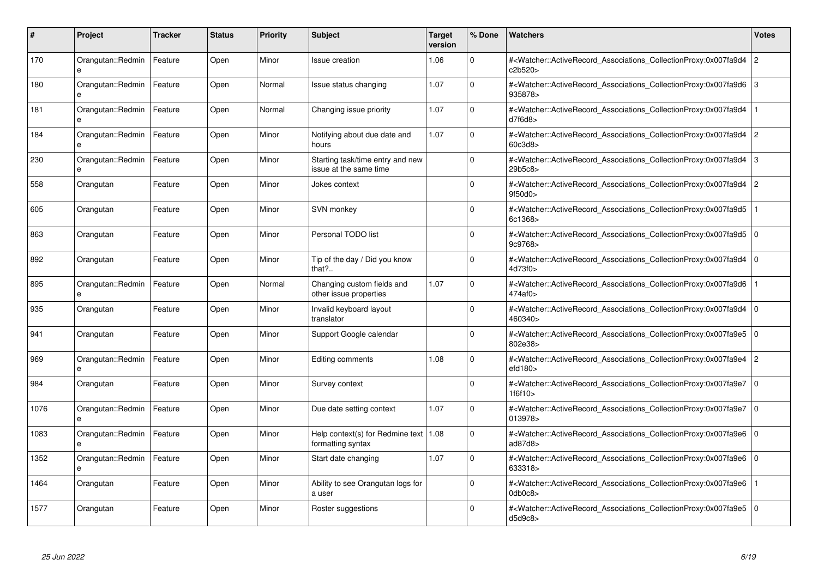| #    | Project                           | <b>Tracker</b> | <b>Status</b> | <b>Priority</b> | <b>Subject</b>                                               | <b>Target</b><br>version | % Done      | <b>Watchers</b>                                                                                                                                          | <b>Votes</b>   |
|------|-----------------------------------|----------------|---------------|-----------------|--------------------------------------------------------------|--------------------------|-------------|----------------------------------------------------------------------------------------------------------------------------------------------------------|----------------|
| 170  | Orangutan::Redmin                 | Feature        | Open          | Minor           | Issue creation                                               | 1.06                     | $\Omega$    | # <watcher::activerecord_associations_collectionproxy:0x007fa9d4<br>c2b520&gt;</watcher::activerecord_associations_collectionproxy:0x007fa9d4<br>        | $\overline{2}$ |
| 180  | Orangutan::Redmin<br>e            | Feature        | Open          | Normal          | Issue status changing                                        | 1.07                     | $\Omega$    | # <watcher::activerecord_associations_collectionproxy:0x007fa9d6 3<br="">935878&gt;</watcher::activerecord_associations_collectionproxy:0x007fa9d6>      |                |
| 181  | Orangutan::Redmin<br>e            | Feature        | Open          | Normal          | Changing issue priority                                      | 1.07                     | $\mathbf 0$ | # <watcher::activerecord_associations_collectionproxy:0x007fa9d4<br>d7f6d8</watcher::activerecord_associations_collectionproxy:0x007fa9d4<br>            |                |
| 184  | Orangutan::Redmin                 | Feature        | Open          | Minor           | Notifying about due date and<br>hours                        | 1.07                     | $\Omega$    | # <watcher::activerecord_associations_collectionproxy:0x007fa9d4 2<br="">60c3d8&gt;</watcher::activerecord_associations_collectionproxy:0x007fa9d4>      |                |
| 230  | Orangutan::Redmin                 | Feature        | Open          | Minor           | Starting task/time entry and new<br>issue at the same time   |                          | $\Omega$    | # <watcher::activerecord associations="" collectionproxy:0x007fa9d4<br="">29b5c8</watcher::activerecord>                                                 | Ι3             |
| 558  | Orangutan                         | Feature        | Open          | Minor           | Jokes context                                                |                          | $\mathbf 0$ | # <watcher::activerecord_associations_collectionproxy:0x007fa9d4<br>9f50d0&gt;</watcher::activerecord_associations_collectionproxy:0x007fa9d4<br>        | $\overline{2}$ |
| 605  | Orangutan                         | Feature        | Open          | Minor           | SVN monkey                                                   |                          | $\Omega$    | # <watcher::activerecord_associations_collectionproxy:0x007fa9d5<br>6c1368&gt;</watcher::activerecord_associations_collectionproxy:0x007fa9d5<br>        |                |
| 863  | Orangutan                         | Feature        | Open          | Minor           | Personal TODO list                                           |                          | $\Omega$    | # <watcher::activerecord 0<br="" associations="" collectionproxy:0x007fa9d5=""  ="">9c9768&gt;</watcher::activerecord>                                   |                |
| 892  | Orangutan                         | Feature        | Open          | Minor           | Tip of the day / Did you know<br>that $?$                    |                          | $\Omega$    | # <watcher::activerecord_associations_collectionproxy:0x007fa9d4 0<br=""  ="">4d73f0&gt;</watcher::activerecord_associations_collectionproxy:0x007fa9d4> |                |
| 895  | Orangutan::Redmin<br>e            | Feature        | Open          | Normal          | Changing custom fields and<br>other issue properties         | 1.07                     | $\Omega$    | # <watcher::activerecord_associations_collectionproxy:0x007fa9d6<br>474af0&gt;</watcher::activerecord_associations_collectionproxy:0x007fa9d6<br>        |                |
| 935  | Orangutan                         | Feature        | Open          | Minor           | Invalid keyboard layout<br>translator                        |                          | $\Omega$    | # <watcher::activerecord 0<br="" associations="" collectionproxy:0x007fa9d4=""  ="">460340&gt;</watcher::activerecord>                                   |                |
| 941  | Orangutan                         | Feature        | Open          | Minor           | Support Google calendar                                      |                          | $\Omega$    | # <watcher::activerecord_associations_collectionproxy:0x007fa9e5 0<br=""  ="">802e38&gt;</watcher::activerecord_associations_collectionproxy:0x007fa9e5> |                |
| 969  | Orangutan::Redmin<br>e            | Feature        | Open          | Minor           | Editing comments                                             | 1.08                     | $\Omega$    | # <watcher::activerecord_associations_collectionproxy:0x007fa9e4 2<br="">efd180</watcher::activerecord_associations_collectionproxy:0x007fa9e4>          |                |
| 984  | Orangutan                         | Feature        | Open          | Minor           | Survey context                                               |                          | $\mathbf 0$ | # <watcher::activerecord associations="" collectionproxy:0x007fa9e7<br="">1f6f10&gt;</watcher::activerecord>                                             | $\overline{0}$ |
| 1076 | Orangutan::Redmin                 | Feature        | Open          | Minor           | Due date setting context                                     | 1.07                     | $\mathbf 0$ | # <watcher::activerecord_associations_collectionproxy:0x007fa9e7 0<br=""  ="">013978&gt;</watcher::activerecord_associations_collectionproxy:0x007fa9e7> |                |
| 1083 | Orangutan::Redmin<br>$\mathbf{a}$ | Feature        | Open          | Minor           | Help context(s) for Redmine text   1.08<br>formatting syntax |                          | $\Omega$    | # <watcher::activerecord_associations_collectionproxy:0x007fa9e6 0<br=""  ="">ad87d8&gt;</watcher::activerecord_associations_collectionproxy:0x007fa9e6> |                |
| 1352 | Orangutan::Redmin<br>e            | Feature        | Open          | Minor           | Start date changing                                          | 1.07                     | $\Omega$    | # <watcher::activerecord 0<br="" associations="" collectionproxy:0x007fa9e6=""  ="">633318&gt;</watcher::activerecord>                                   |                |
| 1464 | Orangutan                         | Feature        | Open          | Minor           | Ability to see Orangutan logs for<br>a user                  |                          | $\Omega$    | # <watcher::activerecord associations="" collectionproxy:0x007fa9e6<br="">0db0c8</watcher::activerecord>                                                 |                |
| 1577 | Orangutan                         | Feature        | Open          | Minor           | Roster suggestions                                           |                          | $\Omega$    | # <watcher::activerecord_associations_collectionproxy:0x007fa9e5 0<br=""  ="">d5d9c8</watcher::activerecord_associations_collectionproxy:0x007fa9e5>     |                |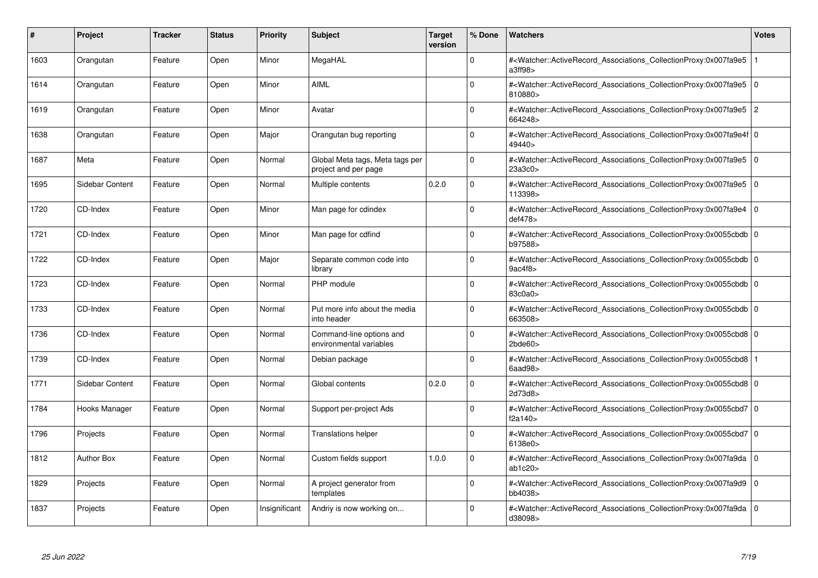| ∦    | Project           | <b>Tracker</b> | <b>Status</b> | <b>Priority</b> | <b>Subject</b>                                          | <b>Target</b><br>version | % Done      | <b>Watchers</b>                                                                                                                                                     | <b>Votes</b> |
|------|-------------------|----------------|---------------|-----------------|---------------------------------------------------------|--------------------------|-------------|---------------------------------------------------------------------------------------------------------------------------------------------------------------------|--------------|
| 1603 | Orangutan         | Feature        | Open          | Minor           | MegaHAL                                                 |                          | $\Omega$    | # <watcher::activerecord associations="" collectionproxy:0x007fa9e5<br="">a3ff98&gt;</watcher::activerecord>                                                        |              |
| 1614 | Orangutan         | Feature        | Open          | Minor           | <b>AIML</b>                                             |                          | $\Omega$    | # <watcher::activerecord_associations_collectionproxy:0x007fa9e5 0<br=""  ="">810880&gt;</watcher::activerecord_associations_collectionproxy:0x007fa9e5>            |              |
| 1619 | Orangutan         | Feature        | Open          | Minor           | Avatar                                                  |                          | $\Omega$    | # <watcher::activerecord_associations_collectionproxy:0x007fa9e5<br>664248&gt;</watcher::activerecord_associations_collectionproxy:0x007fa9e5<br>                   | <u> 2</u>    |
| 1638 | Orangutan         | Feature        | Open          | Major           | Orangutan bug reporting                                 |                          | $\Omega$    | # <watcher::activerecord 0<br="" associations="" collectionproxy:0x007fa9e4f=""  ="">49440&gt;</watcher::activerecord>                                              |              |
| 1687 | Meta              | Feature        | Open          | Normal          | Global Meta tags, Meta tags per<br>project and per page |                          | $\Omega$    | # <watcher::activerecord_associations_collectionproxy:0x007fa9e5 0<br=""  ="">23a3c0<sub>&gt;</sub></watcher::activerecord_associations_collectionproxy:0x007fa9e5> |              |
| 1695 | Sidebar Content   | Feature        | Open          | Normal          | Multiple contents                                       | 0.2.0                    | $\Omega$    | # <watcher::activerecord 0<br="" associations="" collectionproxy:0x007fa9e5=""  ="">113398&gt;</watcher::activerecord>                                              |              |
| 1720 | CD-Index          | Feature        | Open          | Minor           | Man page for cdindex                                    |                          | $\Omega$    | # <watcher::activerecord_associations_collectionproxy:0x007fa9e4 0<br=""  ="">def478<sub>&gt;</sub></watcher::activerecord_associations_collectionproxy:0x007fa9e4> |              |
| 1721 | CD-Index          | Feature        | Open          | Minor           | Man page for cdfind                                     |                          | $\Omega$    | # <watcher::activerecord_associations_collectionproxy:0x0055cbdb 0<br="">b97588&gt;</watcher::activerecord_associations_collectionproxy:0x0055cbdb>                 |              |
| 1722 | CD-Index          | Feature        | Open          | Major           | Separate common code into<br>library                    |                          | $\Omega$    | # <watcher::activerecord_associations_collectionproxy:0x0055cbdb 0<br=""  ="">9ac4f8</watcher::activerecord_associations_collectionproxy:0x0055cbdb>                |              |
| 1723 | CD-Index          | Feature        | Open          | Normal          | PHP module                                              |                          | $\Omega$    | # <watcher::activerecord_associations_collectionproxy:0x0055cbdb 0<br=""  ="">83c0a0&gt;</watcher::activerecord_associations_collectionproxy:0x0055cbdb>            |              |
| 1733 | CD-Index          | Feature        | Open          | Normal          | Put more info about the media<br>into header            |                          | $\mathbf 0$ | # <watcher::activerecord 0<br="" associations="" collectionproxy:0x0055cbdb=""  ="">663508&gt;</watcher::activerecord>                                              |              |
| 1736 | CD-Index          | Feature        | Open          | Normal          | Command-line options and<br>environmental variables     |                          | $\Omega$    | # <watcher::activerecord_associations_collectionproxy:0x0055cbd8 0<br=""  ="">2bde60</watcher::activerecord_associations_collectionproxy:0x0055cbd8>                |              |
| 1739 | CD-Index          | Feature        | Open          | Normal          | Debian package                                          |                          | $\Omega$    | # <watcher::activerecord 1<br="" associations="" collectionproxy:0x0055cbd8=""  ="">6aad98&gt;</watcher::activerecord>                                              |              |
| 1771 | Sidebar Content   | Feature        | Open          | Normal          | Global contents                                         | 0.2.0                    | $\mathbf 0$ | # <watcher::activerecord_associations_collectionproxy:0x0055cbd8 0<br=""  ="">2d73d8&gt;</watcher::activerecord_associations_collectionproxy:0x0055cbd8>            |              |
| 1784 | Hooks Manager     | Feature        | Open          | Normal          | Support per-project Ads                                 |                          | $\Omega$    | # <watcher::activerecord_associations_collectionproxy:0x0055cbd7 0<br="">f2a140&gt;</watcher::activerecord_associations_collectionproxy:0x0055cbd7>                 |              |
| 1796 | Projects          | Feature        | Open          | Normal          | <b>Translations helper</b>                              |                          | $\Omega$    | # <watcher::activerecord 0<br="" associations="" collectionproxy:0x0055cbd7=""  ="">6138e0&gt;</watcher::activerecord>                                              |              |
| 1812 | <b>Author Box</b> | Feature        | Open          | Normal          | Custom fields support                                   | 1.0.0                    | $\Omega$    | # <watcher::activerecord_associations_collectionproxy:0x007fa9da 0<br=""  ="">ab1c20</watcher::activerecord_associations_collectionproxy:0x007fa9da>                |              |
| 1829 | Projects          | Feature        | Open          | Normal          | A project generator from<br>templates                   |                          | $\Omega$    | # <watcher::activerecord 0<br="" associations="" collectionproxy:0x007fa9d9=""  ="">bb4038&gt;</watcher::activerecord>                                              |              |
| 1837 | Projects          | Feature        | Open          | Insignificant   | Andriy is now working on                                |                          | $\Omega$    | # <watcher::activerecord_associations_collectionproxy:0x007fa9da 0<br="">d38098&gt;</watcher::activerecord_associations_collectionproxy:0x007fa9da>                 |              |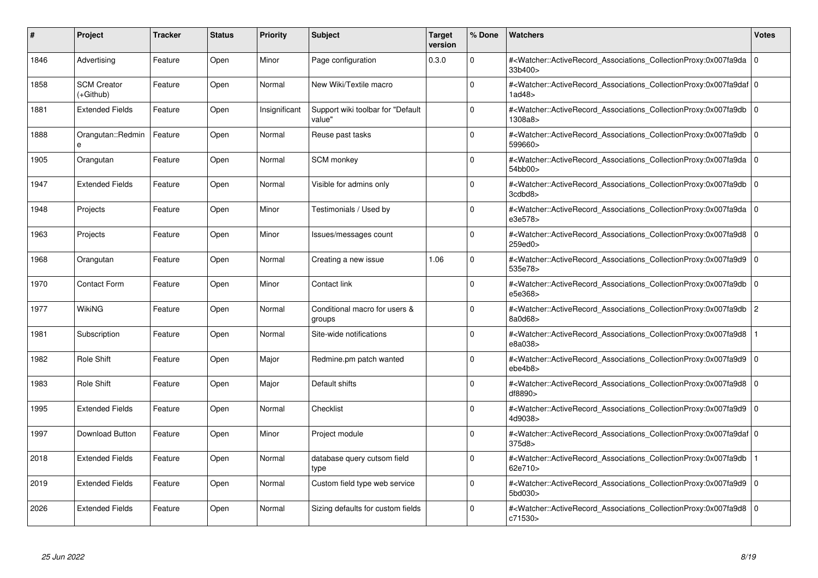| #    | Project                         | <b>Tracker</b> | <b>Status</b> | <b>Priority</b> | <b>Subject</b>                              | <b>Target</b><br>version | % Done      | <b>Watchers</b>                                                                                                                                          | <b>Votes</b> |
|------|---------------------------------|----------------|---------------|-----------------|---------------------------------------------|--------------------------|-------------|----------------------------------------------------------------------------------------------------------------------------------------------------------|--------------|
| 1846 | Advertising                     | Feature        | Open          | Minor           | Page configuration                          | 0.3.0                    | $\Omega$    | # <watcher::activerecord associations="" collectionproxy:0x007fa9da=""  <br="">33b400&gt;</watcher::activerecord>                                        | $\mathbf 0$  |
| 1858 | <b>SCM Creator</b><br>(+Github) | Feature        | Open          | Normal          | New Wiki/Textile macro                      |                          | $\Omega$    | # <watcher::activerecord 0<br="" associations="" collectionproxy:0x007fa9daf=""  ="">1ad48</watcher::activerecord>                                       |              |
| 1881 | <b>Extended Fields</b>          | Feature        | Open          | Insignificant   | Support wiki toolbar for "Default<br>value" |                          | $\Omega$    | # <watcher::activerecord_associations_collectionproxy:0x007fa9db<br>1308a8&gt;</watcher::activerecord_associations_collectionproxy:0x007fa9db<br>        | $\Omega$     |
| 1888 | Orangutan::Redmin<br>e          | Feature        | Open          | Normal          | Reuse past tasks                            |                          | $\Omega$    | # <watcher::activerecord_associations_collectionproxy:0x007fa9db 0<br="">599660&gt;</watcher::activerecord_associations_collectionproxy:0x007fa9db>      |              |
| 1905 | Orangutan                       | Feature        | Open          | Normal          | <b>SCM</b> monkey                           |                          | $\Omega$    | # <watcher::activerecord_associations_collectionproxy:0x007fa9da  <br="">54bb00&gt;</watcher::activerecord_associations_collectionproxy:0x007fa9da>      | $\mathbf 0$  |
| 1947 | <b>Extended Fields</b>          | Feature        | Open          | Normal          | Visible for admins only                     |                          | $\Omega$    | # <watcher::activerecord_associations_collectionproxy:0x007fa9db  <br="">3cdbd8&gt;</watcher::activerecord_associations_collectionproxy:0x007fa9db>      | $\Omega$     |
| 1948 | Projects                        | Feature        | Open          | Minor           | Testimonials / Used by                      |                          | $\Omega$    | # <watcher::activerecord associations="" collectionproxy:0x007fa9da<br="">e3e578&gt;</watcher::activerecord>                                             | $\mathbf 0$  |
| 1963 | Projects                        | Feature        | Open          | Minor           | Issues/messages count                       |                          | $\Omega$    | # <watcher::activerecord_associations_collectionproxy:0x007fa9d8  <br="">259ed0&gt;</watcher::activerecord_associations_collectionproxy:0x007fa9d8>      | $\mathbf 0$  |
| 1968 | Orangutan                       | Feature        | Open          | Normal          | Creating a new issue                        | 1.06                     | $\Omega$    | # <watcher::activerecord associations="" collectionproxy:0x007fa9d9<br="">535e78&gt;</watcher::activerecord>                                             | $\mathbf 0$  |
| 1970 | <b>Contact Form</b>             | Feature        | Open          | Minor           | Contact link                                |                          | $\Omega$    | # <watcher::activerecord associations="" collectionproxy:0x007fa9db=""  <br="">e5e368&gt;</watcher::activerecord>                                        | $\mathbf 0$  |
| 1977 | <b>WikiNG</b>                   | Feature        | Open          | Normal          | Conditional macro for users &<br>groups     |                          | $\Omega$    | # <watcher::activerecord_associations_collectionproxy:0x007fa9db<br>8a0d68&gt;</watcher::activerecord_associations_collectionproxy:0x007fa9db<br>        | $\sqrt{2}$   |
| 1981 | Subscription                    | Feature        | Open          | Normal          | Site-wide notifications                     |                          | $\Omega$    | # <watcher::activerecord associations="" collectionproxy:0x007fa9d8<br="">e8a038&gt;</watcher::activerecord>                                             |              |
| 1982 | Role Shift                      | Feature        | Open          | Major           | Redmine.pm patch wanted                     |                          | $\Omega$    | # <watcher::activerecord associations="" collectionproxy:0x007fa9d9=""  <br="">ebe4b8</watcher::activerecord>                                            | $\mathbf 0$  |
| 1983 | Role Shift                      | Feature        | Open          | Major           | Default shifts                              |                          | $\Omega$    | # <watcher::activerecord_associations_collectionproxy:0x007fa9d8  <br="">df8890&gt;</watcher::activerecord_associations_collectionproxy:0x007fa9d8>      | $\Omega$     |
| 1995 | <b>Extended Fields</b>          | Feature        | Open          | Normal          | Checklist                                   |                          | $\Omega$    | # <watcher::activerecord 0<br="" associations="" collectionproxy:0x007fa9d9=""  ="">4d9038&gt;</watcher::activerecord>                                   |              |
| 1997 | Download Button                 | Feature        | Open          | Minor           | Project module                              |                          | $\Omega$    | # <watcher::activerecord_associations_collectionproxy:0x007fa9daf 0<br=""  ="">375d8</watcher::activerecord_associations_collectionproxy:0x007fa9daf>    |              |
| 2018 | <b>Extended Fields</b>          | Feature        | Open          | Normal          | database query cutsom field<br>type         |                          | $\Omega$    | # <watcher::activerecord_associations_collectionproxy:0x007fa9db<br>62e710&gt;</watcher::activerecord_associations_collectionproxy:0x007fa9db<br>        |              |
| 2019 | <b>Extended Fields</b>          | Feature        | Open          | Normal          | Custom field type web service               |                          | $\mathbf 0$ | # <watcher::activerecord associations="" collectionproxy:0x007fa9d9=""  <br="">5bd030&gt;</watcher::activerecord>                                        | $\mathbf 0$  |
| 2026 | <b>Extended Fields</b>          | Feature        | Open          | Normal          | Sizing defaults for custom fields           |                          | $\Omega$    | # <watcher::activerecord_associations_collectionproxy:0x007fa9d8 0<br=""  ="">c71530&gt;</watcher::activerecord_associations_collectionproxy:0x007fa9d8> |              |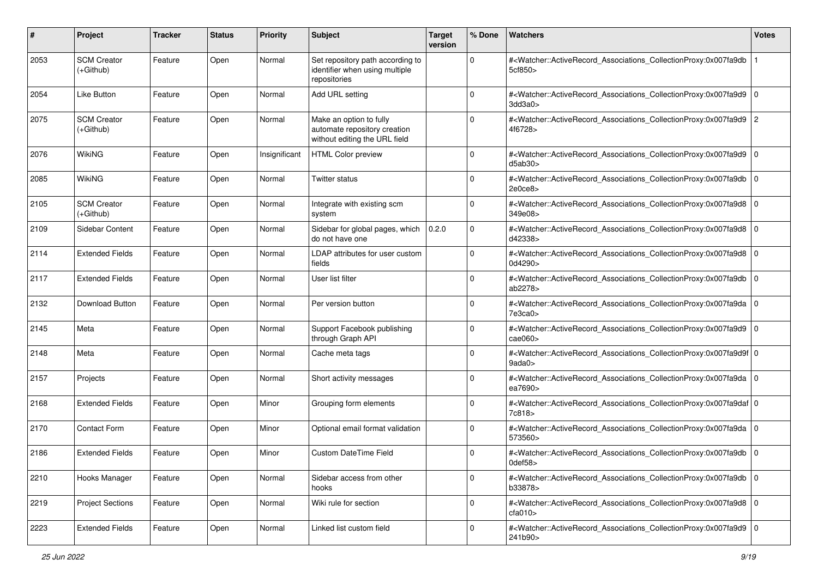| #    | Project                           | <b>Tracker</b> | <b>Status</b> | <b>Priority</b> | <b>Subject</b>                                                                           | <b>Target</b><br>version | % Done      | Watchers                                                                                                                                                            | <b>Votes</b> |
|------|-----------------------------------|----------------|---------------|-----------------|------------------------------------------------------------------------------------------|--------------------------|-------------|---------------------------------------------------------------------------------------------------------------------------------------------------------------------|--------------|
| 2053 | <b>SCM Creator</b><br>$(+Github)$ | Feature        | Open          | Normal          | Set repository path according to<br>identifier when using multiple<br>repositories       |                          | $\Omega$    | # <watcher::activerecord_associations_collectionproxy:0x007fa9db<br>5cf850&gt;</watcher::activerecord_associations_collectionproxy:0x007fa9db<br>                   |              |
| 2054 | Like Button                       | Feature        | Open          | Normal          | Add URL setting                                                                          |                          | $\mathbf 0$ | # <watcher::activerecord_associations_collectionproxy:0x007fa9d9 0<br=""  ="">3dd3a0<sub>&gt;</sub></watcher::activerecord_associations_collectionproxy:0x007fa9d9> |              |
| 2075 | <b>SCM Creator</b><br>$(+Github)$ | Feature        | Open          | Normal          | Make an option to fully<br>automate repository creation<br>without editing the URL field |                          | $\Omega$    | # <watcher::activerecord_associations_collectionproxy:0x007fa9d9 2<br="">4f6728&gt;</watcher::activerecord_associations_collectionproxy:0x007fa9d9>                 |              |
| 2076 | WikiNG                            | Feature        | Open          | Insignificant   | <b>HTML Color preview</b>                                                                |                          | $\Omega$    | # <watcher::activerecord_associations_collectionproxy:0x007fa9d9 0<br=""  ="">d5ab30&gt;</watcher::activerecord_associations_collectionproxy:0x007fa9d9>            |              |
| 2085 | <b>WikiNG</b>                     | Feature        | Open          | Normal          | Twitter status                                                                           |                          | 0           | # <watcher::activerecord_associations_collectionproxy:0x007fa9db 0<br="">2e0ce8</watcher::activerecord_associations_collectionproxy:0x007fa9db>                     |              |
| 2105 | <b>SCM Creator</b><br>(+Github)   | Feature        | Open          | Normal          | Integrate with existing scm<br>system                                                    |                          | 0           | # <watcher::activerecord_associations_collectionproxy:0x007fa9d8 0<br=""  ="">349e08&gt;</watcher::activerecord_associations_collectionproxy:0x007fa9d8>            |              |
| 2109 | Sidebar Content                   | Feature        | Open          | Normal          | Sidebar for global pages, which<br>do not have one                                       | 0.2.0                    | $\Omega$    | # <watcher::activerecord 0<br="" associations="" collectionproxy:0x007fa9d8="">d42338&gt;</watcher::activerecord>                                                   |              |
| 2114 | <b>Extended Fields</b>            | Feature        | Open          | Normal          | LDAP attributes for user custom<br>fields                                                |                          | $\Omega$    | # <watcher::activerecord_associations_collectionproxy:0x007fa9d8 0<br=""  ="">0d4290&gt;</watcher::activerecord_associations_collectionproxy:0x007fa9d8>            |              |
| 2117 | <b>Extended Fields</b>            | Feature        | Open          | Normal          | User list filter                                                                         |                          | $\Omega$    | # <watcher::activerecord_associations_collectionproxy:0x007fa9db 0<br="">ab2278&gt;</watcher::activerecord_associations_collectionproxy:0x007fa9db>                 |              |
| 2132 | Download Button                   | Feature        | Open          | Normal          | Per version button                                                                       |                          | $\Omega$    | # <watcher::activerecord_associations_collectionproxy:0x007fa9da 0<br="">7e3ca0</watcher::activerecord_associations_collectionproxy:0x007fa9da>                     |              |
| 2145 | Meta                              | Feature        | Open          | Normal          | Support Facebook publishing<br>through Graph API                                         |                          | $\Omega$    | # <watcher::activerecord_associations_collectionproxy:0x007fa9d9 0<br="">cae060&gt;</watcher::activerecord_associations_collectionproxy:0x007fa9d9>                 |              |
| 2148 | Meta                              | Feature        | Open          | Normal          | Cache meta tags                                                                          |                          | $\Omega$    | # <watcher::activerecord_associations_collectionproxy:0x007fa9d9f 0<br="">9ada0&gt;</watcher::activerecord_associations_collectionproxy:0x007fa9d9f>                |              |
| 2157 | Projects                          | Feature        | Open          | Normal          | Short activity messages                                                                  |                          | $\Omega$    | # <watcher::activerecord_associations_collectionproxy:0x007fa9da 0<br=""  ="">ea7690&gt;</watcher::activerecord_associations_collectionproxy:0x007fa9da>            |              |
| 2168 | <b>Extended Fields</b>            | Feature        | Open          | Minor           | Grouping form elements                                                                   |                          | $\Omega$    | # <watcher::activerecord_associations_collectionproxy:0x007fa9daf 0<br=""  ="">7c818&gt;</watcher::activerecord_associations_collectionproxy:0x007fa9daf>           |              |
| 2170 | <b>Contact Form</b>               | Feature        | Open          | Minor           | Optional email format validation                                                         |                          | $\Omega$    | # <watcher::activerecord_associations_collectionproxy:0x007fa9da 0<br="">573560&gt;</watcher::activerecord_associations_collectionproxy:0x007fa9da>                 |              |
| 2186 | <b>Extended Fields</b>            | Feature        | Open          | Minor           | <b>Custom DateTime Field</b>                                                             |                          | $\Omega$    | # <watcher::activerecord_associations_collectionproxy:0x007fa9db 0<br="">0def58&gt;</watcher::activerecord_associations_collectionproxy:0x007fa9db>                 |              |
| 2210 | Hooks Manager                     | Feature        | Open          | Normal          | Sidebar access from other<br>hooks                                                       |                          | $\mathbf 0$ | # <watcher::activerecord 0<br="" associations="" collectionproxy:0x007fa9db="">b33878&gt;</watcher::activerecord>                                                   |              |
| 2219 | <b>Project Sections</b>           | Feature        | Open          | Normal          | Wiki rule for section                                                                    |                          | $\Omega$    | # <watcher::activerecord 0<br="" associations="" collectionproxy:0x007fa9d8="">cfa010&gt;</watcher::activerecord>                                                   |              |
| 2223 | <b>Extended Fields</b>            | Feature        | Open          | Normal          | Linked list custom field                                                                 |                          | $\Omega$    | # <watcher::activerecord_associations_collectionproxy:0x007fa9d9 0<br=""  ="">241b90&gt;</watcher::activerecord_associations_collectionproxy:0x007fa9d9>            |              |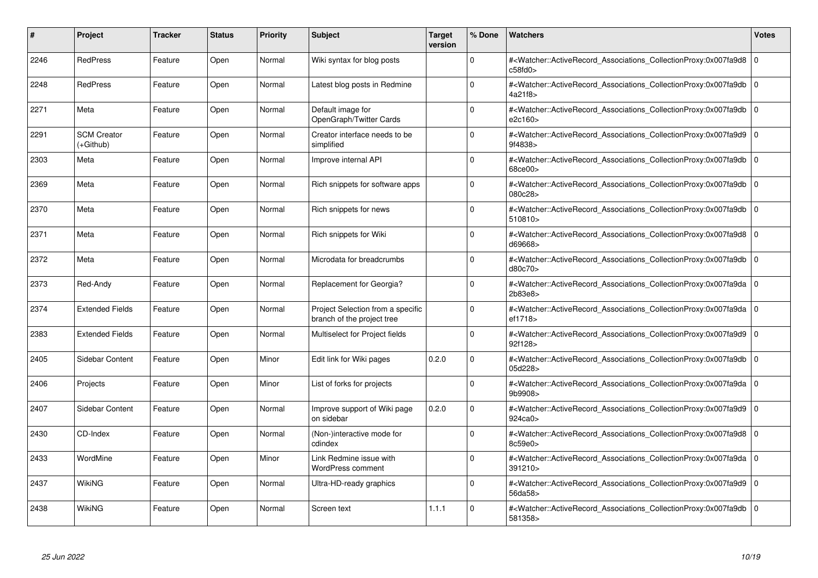| #    | <b>Project</b>                  | <b>Tracker</b> | <b>Status</b> | <b>Priority</b> | <b>Subject</b>                                                  | <b>Target</b><br>version | % Done   | <b>Watchers</b>                                                                                                                                          | <b>Votes</b> |
|------|---------------------------------|----------------|---------------|-----------------|-----------------------------------------------------------------|--------------------------|----------|----------------------------------------------------------------------------------------------------------------------------------------------------------|--------------|
| 2246 | <b>RedPress</b>                 | Feature        | Open          | Normal          | Wiki syntax for blog posts                                      |                          | $\Omega$ | # <watcher::activerecord associations="" collectionproxy:0x007fa9d8<br="">c58fd0</watcher::activerecord>                                                 | $\mathbf 0$  |
| 2248 | <b>RedPress</b>                 | Feature        | Open          | Normal          | Latest blog posts in Redmine                                    |                          | $\Omega$ | # <watcher::activerecord 0<br="" associations="" collectionproxy:0x007fa9db=""  ="">4a21f8&gt;</watcher::activerecord>                                   |              |
| 2271 | Meta                            | Feature        | Open          | Normal          | Default image for<br>OpenGraph/Twitter Cards                    |                          | $\Omega$ | # <watcher::activerecord_associations_collectionproxy:0x007fa9db<br>e2c160&gt;</watcher::activerecord_associations_collectionproxy:0x007fa9db<br>        | $\Omega$     |
| 2291 | <b>SCM Creator</b><br>(+Github) | Feature        | Open          | Normal          | Creator interface needs to be<br>simplified                     |                          | $\Omega$ | # <watcher::activerecord_associations_collectionproxy:0x007fa9d9 0<br="">9f4838&gt;</watcher::activerecord_associations_collectionproxy:0x007fa9d9>      |              |
| 2303 | Meta                            | Feature        | Open          | Normal          | Improve internal API                                            |                          | $\Omega$ | # <watcher::activerecord_associations_collectionproxy:0x007fa9db<br>68ce00&gt;</watcher::activerecord_associations_collectionproxy:0x007fa9db<br>        | $\mathbf 0$  |
| 2369 | Meta                            | Feature        | Open          | Normal          | Rich snippets for software apps                                 |                          | $\Omega$ | # <watcher::activerecord_associations_collectionproxy:0x007fa9db  <br="">080c28&gt;</watcher::activerecord_associations_collectionproxy:0x007fa9db>      | $\Omega$     |
| 2370 | Meta                            | Feature        | Open          | Normal          | Rich snippets for news                                          |                          | $\Omega$ | # <watcher::activerecord associations="" collectionproxy:0x007fa9db<br="">510810</watcher::activerecord>                                                 | $\mathbf 0$  |
| 2371 | Meta                            | Feature        | Open          | Normal          | Rich snippets for Wiki                                          |                          | $\Omega$ | # <watcher::activerecord_associations_collectionproxy:0x007fa9d8 0<br=""  ="">d69668&gt;</watcher::activerecord_associations_collectionproxy:0x007fa9d8> |              |
| 2372 | Meta                            | Feature        | Open          | Normal          | Microdata for breadcrumbs                                       |                          | $\Omega$ | # <watcher::activerecord associations="" collectionproxy:0x007fa9db<br="">d80c70&gt;</watcher::activerecord>                                             | $\mathbf 0$  |
| 2373 | Red-Andy                        | Feature        | Open          | Normal          | Replacement for Georgia?                                        |                          | $\Omega$ | # <watcher::activerecord 0<br="" associations="" collectionproxy:0x007fa9da=""  ="">2b83e8&gt;</watcher::activerecord>                                   |              |
| 2374 | <b>Extended Fields</b>          | Feature        | Open          | Normal          | Project Selection from a specific<br>branch of the project tree |                          | $\Omega$ | # <watcher::activerecord_associations_collectionproxy:0x007fa9da 0<br=""  ="">ef1718&gt;</watcher::activerecord_associations_collectionproxy:0x007fa9da> |              |
| 2383 | <b>Extended Fields</b>          | Feature        | Open          | Normal          | Multiselect for Project fields                                  |                          | $\Omega$ | # <watcher::activerecord associations="" collectionproxy:0x007fa9d9=""  <br="">92f128&gt;</watcher::activerecord>                                        | $\mathbf 0$  |
| 2405 | Sidebar Content                 | Feature        | Open          | Minor           | Edit link for Wiki pages                                        | 0.2.0                    | $\Omega$ | # <watcher::activerecord associations="" collectionproxy:0x007fa9db<br="">05d228&gt;</watcher::activerecord>                                             | $\mathbf 0$  |
| 2406 | Projects                        | Feature        | Open          | Minor           | List of forks for projects                                      |                          | $\Omega$ | # <watcher::activerecord_associations_collectionproxy:0x007fa9da 0<br=""  ="">9b9908&gt;</watcher::activerecord_associations_collectionproxy:0x007fa9da> |              |
| 2407 | Sidebar Content                 | Feature        | Open          | Normal          | Improve support of Wiki page<br>on sidebar                      | 0.2.0                    | $\Omega$ | # <watcher::activerecord 0<br="" associations="" collectionproxy:0x007fa9d9=""  ="">924ca0</watcher::activerecord>                                       |              |
| 2430 | CD-Index                        | Feature        | Open          | Normal          | (Non-)interactive mode for<br>cdindex                           |                          | $\Omega$ | # <watcher::activerecord_associations_collectionproxy:0x007fa9d8 0<br=""  ="">8c59e0&gt;</watcher::activerecord_associations_collectionproxy:0x007fa9d8> |              |
| 2433 | WordMine                        | Feature        | Open          | Minor           | Link Redmine issue with<br><b>WordPress comment</b>             |                          | $\Omega$ | # <watcher::activerecord_associations_collectionproxy:0x007fa9da 0<br=""  ="">391210&gt;</watcher::activerecord_associations_collectionproxy:0x007fa9da> |              |
| 2437 | WikiNG                          | Feature        | Open          | Normal          | Ultra-HD-ready graphics                                         |                          | $\Omega$ | # <watcher::activerecord associations="" collectionproxy:0x007fa9d9<br="">56da58&gt;</watcher::activerecord>                                             | $\mathbf 0$  |
| 2438 | WikiNG                          | Feature        | Open          | Normal          | Screen text                                                     | 1.1.1                    | $\Omega$ | # <watcher::activerecord_associations_collectionproxy:0x007fa9db 0<br=""  ="">581358&gt;</watcher::activerecord_associations_collectionproxy:0x007fa9db> |              |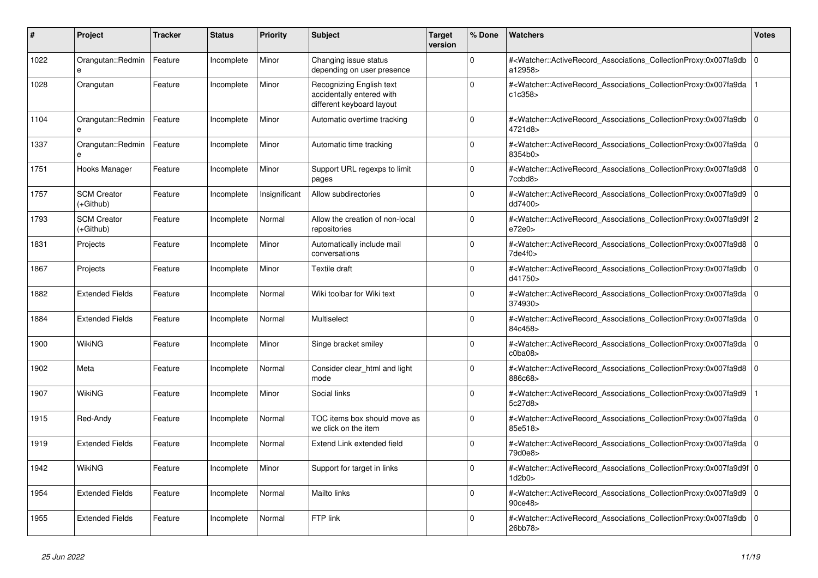| #    | <b>Project</b>                  | <b>Tracker</b> | <b>Status</b> | Priority      | <b>Subject</b>                                                                     | <b>Target</b><br>version | % Done      | <b>Watchers</b>                                                                                                                                          | <b>Votes</b> |
|------|---------------------------------|----------------|---------------|---------------|------------------------------------------------------------------------------------|--------------------------|-------------|----------------------------------------------------------------------------------------------------------------------------------------------------------|--------------|
| 1022 | Orangutan::Redmin<br>e          | Feature        | Incomplete    | Minor         | Changing issue status<br>depending on user presence                                |                          | $\Omega$    | # <watcher::activerecord_associations_collectionproxy:0x007fa9db<br>a12958&gt;</watcher::activerecord_associations_collectionproxy:0x007fa9db<br>        | $\mathbf 0$  |
| 1028 | Orangutan                       | Feature        | Incomplete    | Minor         | Recognizing English text<br>accidentally entered with<br>different keyboard layout |                          | $\Omega$    | # <watcher::activerecord_associations_collectionproxy:0x007fa9da<br>c1c358</watcher::activerecord_associations_collectionproxy:0x007fa9da<br>            |              |
| 1104 | Orangutan::Redmin<br>e          | Feature        | Incomplete    | Minor         | Automatic overtime tracking                                                        |                          | $\Omega$    | # <watcher::activerecord_associations_collectionproxy:0x007fa9db 0<br=""  ="">4721d8&gt;</watcher::activerecord_associations_collectionproxy:0x007fa9db> |              |
| 1337 | Orangutan::Redmin               | Feature        | Incomplete    | Minor         | Automatic time tracking                                                            |                          | $\Omega$    | # <watcher::activerecord_associations_collectionproxy:0x007fa9da  <br="">8354b0&gt;</watcher::activerecord_associations_collectionproxy:0x007fa9da>      | l 0          |
| 1751 | Hooks Manager                   | Feature        | Incomplete    | Minor         | Support URL regexps to limit<br>pages                                              |                          | $\Omega$    | # <watcher::activerecord associations="" collectionproxy:0x007fa9d8<br="">7ccbd8&gt;</watcher::activerecord>                                             | $\Omega$     |
| 1757 | <b>SCM Creator</b><br>(+Github) | Feature        | Incomplete    | Insignificant | Allow subdirectories                                                               |                          | $\Omega$    | # <watcher::activerecord_associations_collectionproxy:0x007fa9d9 0<br=""  ="">dd7400&gt;</watcher::activerecord_associations_collectionproxy:0x007fa9d9> |              |
| 1793 | <b>SCM Creator</b><br>(+Github) | Feature        | Incomplete    | Normal        | Allow the creation of non-local<br>repositories                                    |                          | $\Omega$    | # <watcher::activerecord_associations_collectionproxy:0x007fa9d9f 2<br="">e72e0</watcher::activerecord_associations_collectionproxy:0x007fa9d9f>         |              |
| 1831 | Projects                        | Feature        | Incomplete    | Minor         | Automatically include mail<br>conversations                                        |                          | $\Omega$    | # <watcher::activerecord associations="" collectionproxy:0x007fa9d8<br=""><math>7</math>de<math>4</math>f0<math>&gt;</math></watcher::activerecord>      | ۱o           |
| 1867 | Projects                        | Feature        | Incomplete    | Minor         | Textile draft                                                                      |                          | $\mathbf 0$ | # <watcher::activerecord_associations_collectionproxy:0x007fa9db 0<br=""  ="">d41750&gt;</watcher::activerecord_associations_collectionproxy:0x007fa9db> |              |
| 1882 | <b>Extended Fields</b>          | Feature        | Incomplete    | Normal        | Wiki toolbar for Wiki text                                                         |                          | $\Omega$    | # <watcher::activerecord_associations_collectionproxy:0x007fa9da<br>374930&gt;</watcher::activerecord_associations_collectionproxy:0x007fa9da<br>        | l O          |
| 1884 | <b>Extended Fields</b>          | Feature        | Incomplete    | Normal        | Multiselect                                                                        |                          | $\Omega$    | # <watcher::activerecord_associations_collectionproxy:0x007fa9da 0<br="">84c458&gt;</watcher::activerecord_associations_collectionproxy:0x007fa9da>      |              |
| 1900 | WikiNG                          | Feature        | Incomplete    | Minor         | Singe bracket smiley                                                               |                          | $\mathbf 0$ | # <watcher::activerecord 0<br="" associations="" collectionproxy:0x007fa9da=""  ="">c0ba08</watcher::activerecord>                                       |              |
| 1902 | Meta                            | Feature        | Incomplete    | Normal        | Consider clear html and light<br>mode                                              |                          | $\Omega$    | # <watcher::activerecord_associations_collectionproxy:0x007fa9d8<br>886c68&gt;</watcher::activerecord_associations_collectionproxy:0x007fa9d8<br>        | $\Omega$     |
| 1907 | WikiNG                          | Feature        | Incomplete    | Minor         | Social links                                                                       |                          | $\Omega$    | # <watcher::activerecord associations="" collectionproxy:0x007fa9d9<br="">5c27d8&gt;</watcher::activerecord>                                             |              |
| 1915 | Red-Andy                        | Feature        | Incomplete    | Normal        | TOC items box should move as<br>we click on the item                               |                          | $\mathbf 0$ | # <watcher::activerecord 0<br="" associations="" collectionproxy:0x007fa9da=""  ="">85e518&gt;</watcher::activerecord>                                   |              |
| 1919 | <b>Extended Fields</b>          | Feature        | Incomplete    | Normal        | Extend Link extended field                                                         |                          | $\mathbf 0$ | # <watcher::activerecord_associations_collectionproxy:0x007fa9da<br>79d0e8&gt;</watcher::activerecord_associations_collectionproxy:0x007fa9da<br>        | l 0          |
| 1942 | WikiNG                          | Feature        | Incomplete    | Minor         | Support for target in links                                                        |                          | $\Omega$    | # <watcher::activerecord 0<br="" associations="" collectionproxy:0x007fa9d9f=""  ="">1d2b0</watcher::activerecord>                                       |              |
| 1954 | <b>Extended Fields</b>          | Feature        | Incomplete    | Normal        | Mailto links                                                                       |                          | $\mathbf 0$ | # <watcher::activerecord_associations_collectionproxy:0x007fa9d9<br>90ce48&gt;</watcher::activerecord_associations_collectionproxy:0x007fa9d9<br>        | l 0          |
| 1955 | <b>Extended Fields</b>          | Feature        | Incomplete    | Normal        | FTP link                                                                           |                          | $\Omega$    | # <watcher::activerecord_associations_collectionproxy:0x007fa9db<br>26bb78&gt;</watcher::activerecord_associations_collectionproxy:0x007fa9db<br>        | 0            |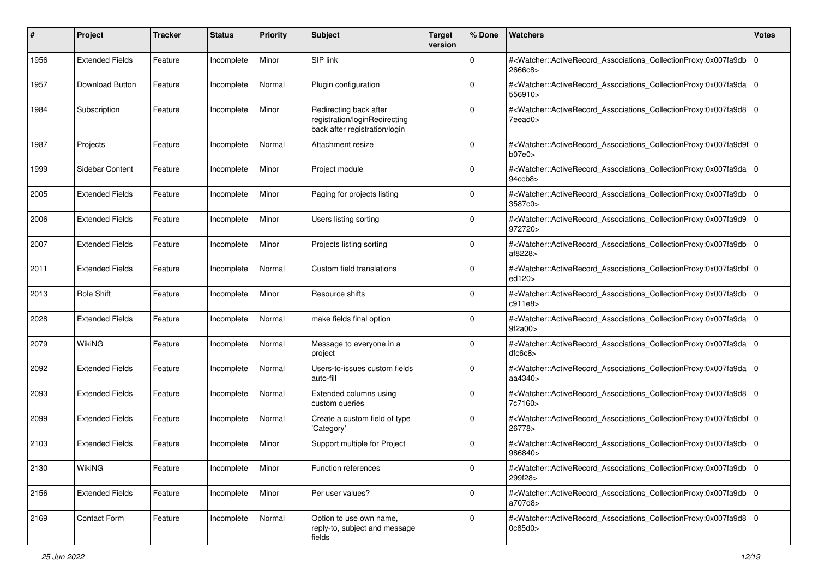| #    | Project                | <b>Tracker</b> | <b>Status</b> | <b>Priority</b> | <b>Subject</b>                                                                           | <b>Target</b><br>version | % Done      | Watchers                                                                                                                                                 | <b>Votes</b> |
|------|------------------------|----------------|---------------|-----------------|------------------------------------------------------------------------------------------|--------------------------|-------------|----------------------------------------------------------------------------------------------------------------------------------------------------------|--------------|
| 1956 | <b>Extended Fields</b> | Feature        | Incomplete    | Minor           | SIP link                                                                                 |                          | 0           | # <watcher::activerecord_associations_collectionproxy:0x007fa9db<br>2666c8&gt;</watcher::activerecord_associations_collectionproxy:0x007fa9db<br>        | l O          |
| 1957 | Download Button        | Feature        | Incomplete    | Normal          | Plugin configuration                                                                     |                          | $\Omega$    | # <watcher::activerecord_associations_collectionproxy:0x007fa9da  <br="">556910&gt;</watcher::activerecord_associations_collectionproxy:0x007fa9da>      | l 0          |
| 1984 | Subscription           | Feature        | Incomplete    | Minor           | Redirecting back after<br>registration/loginRedirecting<br>back after registration/login |                          | 0           | # <watcher::activerecord_associations_collectionproxy:0x007fa9d8 0<br=""  ="">7eead0&gt;</watcher::activerecord_associations_collectionproxy:0x007fa9d8> |              |
| 1987 | Projects               | Feature        | Incomplete    | Normal          | Attachment resize                                                                        |                          | 0           | # <watcher::activerecord_associations_collectionproxy:0x007fa9d9f 0<br="">b07e0&gt;</watcher::activerecord_associations_collectionproxy:0x007fa9d9f>     |              |
| 1999 | Sidebar Content        | Feature        | Incomplete    | Minor           | Project module                                                                           |                          | $\Omega$    | # <watcher::activerecord_associations_collectionproxy:0x007fa9da 0<br=""  ="">94ccb8&gt;</watcher::activerecord_associations_collectionproxy:0x007fa9da> |              |
| 2005 | <b>Extended Fields</b> | Feature        | Incomplete    | Minor           | Paging for projects listing                                                              |                          | $\mathbf 0$ | # <watcher::activerecord_associations_collectionproxy:0x007fa9db 0<br=""  ="">3587c0&gt;</watcher::activerecord_associations_collectionproxy:0x007fa9db> |              |
| 2006 | <b>Extended Fields</b> | Feature        | Incomplete    | Minor           | Users listing sorting                                                                    |                          | $\Omega$    | # <watcher::activerecord_associations_collectionproxy:0x007fa9d9 0<br="">972720&gt;</watcher::activerecord_associations_collectionproxy:0x007fa9d9>      |              |
| 2007 | <b>Extended Fields</b> | Feature        | Incomplete    | Minor           | Projects listing sorting                                                                 |                          | $\Omega$    | # <watcher::activerecord_associations_collectionproxy:0x007fa9db 0<br="">af8228&gt;</watcher::activerecord_associations_collectionproxy:0x007fa9db>      |              |
| 2011 | <b>Extended Fields</b> | Feature        | Incomplete    | Normal          | Custom field translations                                                                |                          | $\mathbf 0$ | # <watcher::activerecord_associations_collectionproxy:0x007fa9dbf 0<br="">ed120&gt;</watcher::activerecord_associations_collectionproxy:0x007fa9dbf>     |              |
| 2013 | Role Shift             | Feature        | Incomplete    | Minor           | Resource shifts                                                                          |                          | $\mathbf 0$ | # <watcher::activerecord_associations_collectionproxy:0x007fa9db 0<br="">c911e8</watcher::activerecord_associations_collectionproxy:0x007fa9db>          |              |
| 2028 | <b>Extended Fields</b> | Feature        | Incomplete    | Normal          | make fields final option                                                                 |                          | $\Omega$    | # <watcher::activerecord_associations_collectionproxy:0x007fa9da 0<br="">9f2a00&gt;</watcher::activerecord_associations_collectionproxy:0x007fa9da>      |              |
| 2079 | WikiNG                 | Feature        | Incomplete    | Normal          | Message to everyone in a<br>project                                                      |                          | $\Omega$    | # <watcher::activerecord_associations_collectionproxy:0x007fa9da 0<br=""  ="">dfc6c8</watcher::activerecord_associations_collectionproxy:0x007fa9da>     |              |
| 2092 | <b>Extended Fields</b> | Feature        | Incomplete    | Normal          | Users-to-issues custom fields<br>auto-fill                                               |                          | $\mathbf 0$ | # <watcher::activerecord_associations_collectionproxy:0x007fa9da 0<br="">aa4340&gt;</watcher::activerecord_associations_collectionproxy:0x007fa9da>      |              |
| 2093 | <b>Extended Fields</b> | Feature        | Incomplete    | Normal          | Extended columns using<br>custom queries                                                 |                          | $\Omega$    | # <watcher::activerecord_associations_collectionproxy:0x007fa9d8 0<br=""  ="">7c7160&gt;</watcher::activerecord_associations_collectionproxy:0x007fa9d8> |              |
| 2099 | <b>Extended Fields</b> | Feature        | Incomplete    | Normal          | Create a custom field of type<br>'Category'                                              |                          | $\Omega$    | # <watcher::activerecord_associations_collectionproxy:0x007fa9dbf 0<br="">26778&gt;</watcher::activerecord_associations_collectionproxy:0x007fa9dbf>     |              |
| 2103 | <b>Extended Fields</b> | Feature        | Incomplete    | Minor           | Support multiple for Project                                                             |                          | $\mathbf 0$ | # <watcher::activerecord_associations_collectionproxy:0x007fa9db 0<br="">986840&gt;</watcher::activerecord_associations_collectionproxy:0x007fa9db>      |              |
| 2130 | WikiNG                 | Feature        | Incomplete    | Minor           | Function references                                                                      |                          | 0           | # <watcher::activerecord_associations_collectionproxy:0x007fa9db 0<br=""  ="">299f28&gt;</watcher::activerecord_associations_collectionproxy:0x007fa9db> |              |
| 2156 | <b>Extended Fields</b> | Feature        | Incomplete    | Minor           | Per user values?                                                                         |                          | $\mathbf 0$ | # <watcher::activerecord_associations_collectionproxy:0x007fa9db 0<br="">a707d8&gt;</watcher::activerecord_associations_collectionproxy:0x007fa9db>      |              |
| 2169 | Contact Form           | Feature        | Incomplete    | Normal          | Option to use own name,<br>reply-to, subject and message<br>fields                       |                          | $\pmb{0}$   | # <watcher::activerecord 0<br="" associations="" collectionproxy:0x007fa9d8="">0c85d0</watcher::activerecord>                                            |              |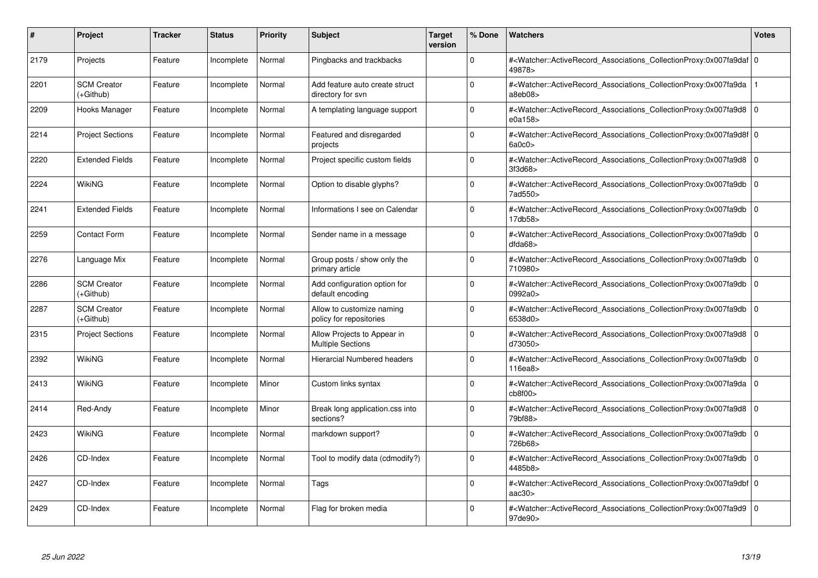| #    | <b>Project</b>                  | <b>Tracker</b> | <b>Status</b> | <b>Priority</b> | <b>Subject</b>                                          | <b>Target</b><br>version | % Done   | <b>Watchers</b>                                                                                                                                          | <b>Votes</b> |
|------|---------------------------------|----------------|---------------|-----------------|---------------------------------------------------------|--------------------------|----------|----------------------------------------------------------------------------------------------------------------------------------------------------------|--------------|
| 2179 | Projects                        | Feature        | Incomplete    | Normal          | Pingbacks and trackbacks                                |                          | $\Omega$ | # <watcher::activerecord 0<br="" associations="" collectionproxy:0x007fa9daf=""  ="">49878&gt;</watcher::activerecord>                                   |              |
| 2201 | <b>SCM Creator</b><br>(+Github) | Feature        | Incomplete    | Normal          | Add feature auto create struct<br>directory for svn     |                          | $\Omega$ | # <watcher::activerecord associations="" collectionproxy:0x007fa9da<br="">a8eb08&gt;</watcher::activerecord>                                             |              |
| 2209 | Hooks Manager                   | Feature        | Incomplete    | Normal          | A templating language support                           |                          | $\Omega$ | # <watcher::activerecord_associations_collectionproxy:0x007fa9d8 0<br="">e0a158&gt;</watcher::activerecord_associations_collectionproxy:0x007fa9d8>      |              |
| 2214 | <b>Project Sections</b>         | Feature        | Incomplete    | Normal          | Featured and disregarded<br>projects                    |                          | $\Omega$ | # <watcher::activerecord 0<br="" associations="" collectionproxy:0x007fa9d8f=""  ="">6a0c0z</watcher::activerecord>                                      |              |
| 2220 | <b>Extended Fields</b>          | Feature        | Incomplete    | Normal          | Project specific custom fields                          |                          | $\Omega$ | # <watcher::activerecord_associations_collectionproxy:0x007fa9d8 0<br=""  ="">3f3d68</watcher::activerecord_associations_collectionproxy:0x007fa9d8>     |              |
| 2224 | WikiNG                          | Feature        | Incomplete    | Normal          | Option to disable glyphs?                               |                          | $\Omega$ | # <watcher::activerecord_associations_collectionproxy:0x007fa9db  <br="">7ad550&gt;</watcher::activerecord_associations_collectionproxy:0x007fa9db>      | $\Omega$     |
| 2241 | <b>Extended Fields</b>          | Feature        | Incomplete    | Normal          | Informations I see on Calendar                          |                          | $\Omega$ | # <watcher::activerecord associations="" collectionproxy:0x007fa9db<br="">17db58&gt;</watcher::activerecord>                                             | $\mathbf 0$  |
| 2259 | <b>Contact Form</b>             | Feature        | Incomplete    | Normal          | Sender name in a message                                |                          | $\Omega$ | # <watcher::activerecord_associations_collectionproxy:0x007fa9db  <br="">dda68</watcher::activerecord_associations_collectionproxy:0x007fa9db>           | $\mathbf 0$  |
| 2276 | Language Mix                    | Feature        | Incomplete    | Normal          | Group posts / show only the<br>primary article          |                          | $\Omega$ | # <watcher::activerecord_associations_collectionproxy:0x007fa9db<br>710980&gt;</watcher::activerecord_associations_collectionproxy:0x007fa9db<br>        | $\mathbf 0$  |
| 2286 | <b>SCM Creator</b><br>(+Github) | Feature        | Incomplete    | Normal          | Add configuration option for<br>default encoding        |                          | $\Omega$ | # <watcher::activerecord associations="" collectionproxy:0x007fa9db<br="">0992a0&gt;</watcher::activerecord>                                             | $\mathbf 0$  |
| 2287 | <b>SCM Creator</b><br>(+Github) | Feature        | Incomplete    | Normal          | Allow to customize naming<br>policy for repositories    |                          | $\Omega$ | # <watcher::activerecord associations="" collectionproxy:0x007fa9db<br="">6538d0&gt;</watcher::activerecord>                                             | $\Omega$     |
| 2315 | <b>Project Sections</b>         | Feature        | Incomplete    | Normal          | Allow Projects to Appear in<br><b>Multiple Sections</b> |                          | $\Omega$ | # <watcher::activerecord_associations_collectionproxy:0x007fa9d8 0<br=""  ="">d73050&gt;</watcher::activerecord_associations_collectionproxy:0x007fa9d8> |              |
| 2392 | WikiNG                          | Feature        | Incomplete    | Normal          | Hierarcial Numbered headers                             |                          | $\Omega$ | # <watcher::activerecord associations="" collectionproxy:0x007fa9db<br="">116ea8&gt;</watcher::activerecord>                                             | $\mathbf 0$  |
| 2413 | <b>WikiNG</b>                   | Feature        | Incomplete    | Minor           | Custom links syntax                                     |                          | $\Omega$ | # <watcher::activerecord_associations_collectionproxy:0x007fa9da 0<br=""  ="">cb8f00&gt;</watcher::activerecord_associations_collectionproxy:0x007fa9da> |              |
| 2414 | Red-Andy                        | Feature        | Incomplete    | Minor           | Break long application.css into<br>sections?            |                          | $\Omega$ | # <watcher::activerecord 0<br="" associations="" collectionproxy:0x007fa9d8=""  ="">79bf88&gt;</watcher::activerecord>                                   |              |
| 2423 | WikiNG                          | Feature        | Incomplete    | Normal          | markdown support?                                       |                          | $\Omega$ | # <watcher::activerecord_associations_collectionproxy:0x007fa9db  <br="">726b68&gt;</watcher::activerecord_associations_collectionproxy:0x007fa9db>      | $\mathbf 0$  |
| 2426 | CD-Index                        | Feature        | Incomplete    | Normal          | Tool to modify data (cdmodify?)                         |                          | $\Omega$ | # <watcher::activerecord_associations_collectionproxy:0x007fa9db  <br="">4485b8&gt;</watcher::activerecord_associations_collectionproxy:0x007fa9db>      | $\mathbf 0$  |
| 2427 | CD-Index                        | Feature        | Incomplete    | Normal          | Tags                                                    |                          | $\Omega$ | # <watcher::activerecord 0<br="" associations="" collectionproxy:0x007fa9dbf=""  ="">aac30</watcher::activerecord>                                       |              |
| 2429 | CD-Index                        | Feature        | Incomplete    | Normal          | Flag for broken media                                   |                          | $\Omega$ | # <watcher::activerecord_associations_collectionproxy:0x007fa9d9 0<br=""  ="">97de90&gt;</watcher::activerecord_associations_collectionproxy:0x007fa9d9> |              |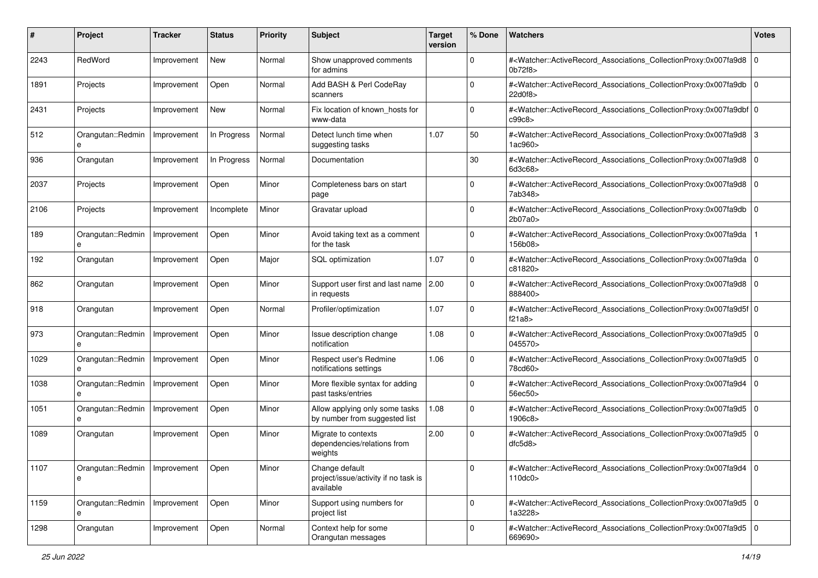| #    | Project                              | <b>Tracker</b> | <b>Status</b> | <b>Priority</b> | <b>Subject</b>                                                      | <b>Target</b><br>version | % Done              | <b>Watchers</b>                                                                                                                                          | <b>Votes</b> |
|------|--------------------------------------|----------------|---------------|-----------------|---------------------------------------------------------------------|--------------------------|---------------------|----------------------------------------------------------------------------------------------------------------------------------------------------------|--------------|
| 2243 | RedWord                              | Improvement    | <b>New</b>    | Normal          | Show unapproved comments<br>for admins                              |                          | $\mathbf 0$         | # <watcher::activerecord_associations_collectionproxy:0x007fa9d8<br>0b72f8</watcher::activerecord_associations_collectionproxy:0x007fa9d8<br>            | $\mathbf 0$  |
| 1891 | Projects                             | Improvement    | Open          | Normal          | Add BASH & Perl CodeRay<br>scanners                                 |                          | $\Omega$            | # <watcher::activerecord_associations_collectionproxy:0x007fa9db<br>22d0f8&gt;</watcher::activerecord_associations_collectionproxy:0x007fa9db<br>        | l O          |
| 2431 | Projects                             | Improvement    | New           | Normal          | Fix location of known_hosts for<br>www-data                         |                          | 0                   | # <watcher::activerecord_associations_collectionproxy:0x007fa9dbf 0<br="">c99c8&gt;</watcher::activerecord_associations_collectionproxy:0x007fa9dbf>     |              |
| 512  | Orangutan::Redmin<br>e               | Improvement    | In Progress   | Normal          | Detect lunch time when<br>suggesting tasks                          | 1.07                     | 50                  | # <watcher::activerecord_associations_collectionproxy:0x007fa9d8<br>1ac960&gt;</watcher::activerecord_associations_collectionproxy:0x007fa9d8<br>        | 3            |
| 936  | Orangutan                            | Improvement    | In Progress   | Normal          | Documentation                                                       |                          | 30                  | # <watcher::activerecord 0<br="" associations="" collectionproxy:0x007fa9d8="">6d3c68&gt;</watcher::activerecord>                                        |              |
| 2037 | Projects                             | Improvement    | Open          | Minor           | Completeness bars on start<br>page                                  |                          | 0                   | # <watcher::activerecord_associations_collectionproxy:0x007fa9d8<br>7ab348&gt;</watcher::activerecord_associations_collectionproxy:0x007fa9d8<br>        | l O          |
| 2106 | Projects                             | Improvement    | Incomplete    | Minor           | Gravatar upload                                                     |                          | $\Omega$            | # <watcher::activerecord_associations_collectionproxy:0x007fa9db 0<br="">2b07a0</watcher::activerecord_associations_collectionproxy:0x007fa9db>          |              |
| 189  | Orangutan::Redmin<br>e               | Improvement    | Open          | Minor           | Avoid taking text as a comment<br>for the task                      |                          | 0                   | # <watcher::activerecord_associations_collectionproxy:0x007fa9da<br>156b08&gt;</watcher::activerecord_associations_collectionproxy:0x007fa9da<br>        |              |
| 192  | Orangutan                            | Improvement    | Open          | Major           | SQL optimization                                                    | 1.07                     | $\mathbf 0$         | # <watcher::activerecord_associations_collectionproxy:0x007fa9da  <br="">c81820&gt;</watcher::activerecord_associations_collectionproxy:0x007fa9da>      | l O          |
| 862  | Orangutan                            | Improvement    | Open          | Minor           | Support user first and last name<br>in requests                     | 2.00                     | 0                   | # <watcher::activerecord_associations_collectionproxy:0x007fa9d8 0<br=""  ="">888400&gt;</watcher::activerecord_associations_collectionproxy:0x007fa9d8> |              |
| 918  | Orangutan                            | Improvement    | Open          | Normal          | Profiler/optimization                                               | 1.07                     | $\mathbf 0$         | # <watcher::activerecord_associations_collectionproxy:0x007fa9d5f 0<br=""  ="">f21a8</watcher::activerecord_associations_collectionproxy:0x007fa9d5f>    |              |
| 973  | Orangutan::Redmin<br>e               | Improvement    | Open          | Minor           | Issue description change<br>notification                            | 1.08                     | $\Omega$            | # <watcher::activerecord_associations_collectionproxy:0x007fa9d5 0<br=""  ="">045570&gt;</watcher::activerecord_associations_collectionproxy:0x007fa9d5> |              |
| 1029 | Orangutan::Redmin<br>e               | Improvement    | Open          | Minor           | Respect user's Redmine<br>notifications settings                    | 1.06                     | $\Omega$            | # <watcher::activerecord_associations_collectionproxy:0x007fa9d5 0<br=""  ="">78cd60&gt;</watcher::activerecord_associations_collectionproxy:0x007fa9d5> |              |
| 1038 | Orangutan::Redmin<br>e               | Improvement    | Open          | Minor           | More flexible syntax for adding<br>past tasks/entries               |                          | 0                   | # <watcher::activerecord_associations_collectionproxy:0x007fa9d4<br>56ec50&gt;</watcher::activerecord_associations_collectionproxy:0x007fa9d4<br>        | $\Omega$     |
| 1051 | Orangutan::Redmin<br>e               | Improvement    | Open          | Minor           | Allow applying only some tasks<br>by number from suggested list     | 1.08                     | $\Omega$            | # <watcher::activerecord_associations_collectionproxy:0x007fa9d5<br>1906c8&gt;</watcher::activerecord_associations_collectionproxy:0x007fa9d5<br>        | l O          |
| 1089 | Orangutan                            | Improvement    | Open          | Minor           | Migrate to contexts<br>dependencies/relations from<br>weights       | 2.00                     | $\Omega$            | # <watcher::activerecord_associations_collectionproxy:0x007fa9d5 0<br=""  ="">dfc5d8</watcher::activerecord_associations_collectionproxy:0x007fa9d5>     |              |
| 1107 | Orangutan::Redmin   Improvement<br>e |                | Open          | Minor           | Change default<br>project/issue/activity if no task is<br>available |                          | 0                   | # <watcher::activerecord 0<br="" associations="" collectionproxy:0x007fa9d4="">110dc0&gt;</watcher::activerecord>                                        |              |
| 1159 | Orangutan::Redmin<br>e               | Improvement    | Open          | Minor           | Support using numbers for<br>project list                           |                          | $\mathsf{O}\xspace$ | # <watcher::activerecord 0<br="" associations="" collectionproxy:0x007fa9d5="">1a3228&gt;</watcher::activerecord>                                        |              |
| 1298 | Orangutan                            | Improvement    | Open          | Normal          | Context help for some<br>Orangutan messages                         |                          | 0                   | # <watcher::activerecord_associations_collectionproxy:0x007fa9d5 0<br=""  ="">669690&gt;</watcher::activerecord_associations_collectionproxy:0x007fa9d5> |              |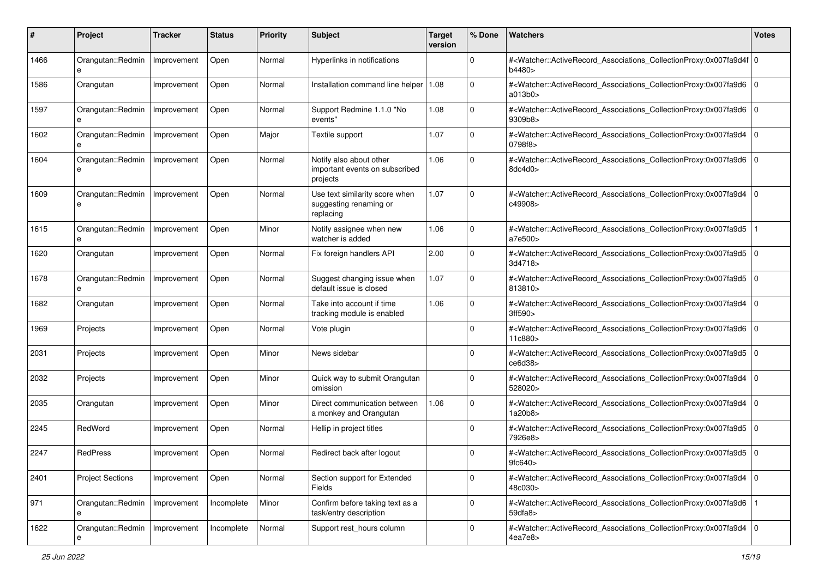| #    | Project                 | <b>Tracker</b> | <b>Status</b> | <b>Priority</b> | <b>Subject</b>                                                        | <b>Target</b><br>version | % Done      | <b>Watchers</b>                                                                                                                                          | <b>Votes</b> |
|------|-------------------------|----------------|---------------|-----------------|-----------------------------------------------------------------------|--------------------------|-------------|----------------------------------------------------------------------------------------------------------------------------------------------------------|--------------|
| 1466 | Orangutan::Redmin<br>e  | Improvement    | Open          | Normal          | Hyperlinks in notifications                                           |                          | 0           | # <watcher::activerecord 0<br="" associations="" collectionproxy:0x007fa9d4f="">b4480&gt;</watcher::activerecord>                                        |              |
| 1586 | Orangutan               | Improvement    | Open          | Normal          | Installation command line helper   1.08                               |                          | $\Omega$    | # <watcher::activerecord_associations_collectionproxy:0x007fa9d6 0<br=""  ="">a013b0&gt;</watcher::activerecord_associations_collectionproxy:0x007fa9d6> |              |
| 1597 | Orangutan::Redmin<br>e  | Improvement    | Open          | Normal          | Support Redmine 1.1.0 "No<br>events"                                  | 1.08                     | 0           | # <watcher::activerecord_associations_collectionproxy:0x007fa9d6 0<br=""  ="">9309b8&gt;</watcher::activerecord_associations_collectionproxy:0x007fa9d6> |              |
| 1602 | Orangutan::Redmin<br>e  | Improvement    | Open          | Major           | Textile support                                                       | 1.07                     | $\mathbf 0$ | # <watcher::activerecord_associations_collectionproxy:0x007fa9d4<br>0798f8&gt;</watcher::activerecord_associations_collectionproxy:0x007fa9d4<br>        | l O          |
| 1604 | Orangutan::Redmin<br>e  | Improvement    | Open          | Normal          | Notify also about other<br>important events on subscribed<br>projects | 1.06                     | $\Omega$    | # <watcher::activerecord_associations_collectionproxy:0x007fa9d6 0<br=""  ="">8dc4d0&gt;</watcher::activerecord_associations_collectionproxy:0x007fa9d6> |              |
| 1609 | Orangutan::Redmin<br>e  | Improvement    | Open          | Normal          | Use text similarity score when<br>suggesting renaming or<br>replacing | 1.07                     | $\Omega$    | # <watcher::activerecord_associations_collectionproxy:0x007fa9d4<br>c49908&gt;</watcher::activerecord_associations_collectionproxy:0x007fa9d4<br>        | $\mathbf 0$  |
| 1615 | Orangutan::Redmin<br>e  | Improvement    | Open          | Minor           | Notify assignee when new<br>watcher is added                          | 1.06                     | $\Omega$    | # <watcher::activerecord_associations_collectionproxy:0x007fa9d5<br>a7e500&gt;</watcher::activerecord_associations_collectionproxy:0x007fa9d5<br>        |              |
| 1620 | Orangutan               | Improvement    | Open          | Normal          | Fix foreign handlers API                                              | 2.00                     | $\Omega$    | # <watcher::activerecord_associations_collectionproxy:0x007fa9d5 0<br=""  ="">3d4718&gt;</watcher::activerecord_associations_collectionproxy:0x007fa9d5> |              |
| 1678 | Orangutan::Redmin       | Improvement    | Open          | Normal          | Suggest changing issue when<br>default issue is closed                | 1.07                     | $\Omega$    | # <watcher::activerecord_associations_collectionproxy:0x007fa9d5<br>813810&gt;</watcher::activerecord_associations_collectionproxy:0x007fa9d5<br>        | l o          |
| 1682 | Orangutan               | Improvement    | Open          | Normal          | Take into account if time<br>tracking module is enabled               | 1.06                     | $\Omega$    | # <watcher::activerecord_associations_collectionproxy:0x007fa9d4<br>3ff590&gt;</watcher::activerecord_associations_collectionproxy:0x007fa9d4<br>        | $\Omega$     |
| 1969 | Projects                | Improvement    | Open          | Normal          | Vote plugin                                                           |                          | $\Omega$    | # <watcher::activerecord_associations_collectionproxy:0x007fa9d6 0<br="">11c880&gt;</watcher::activerecord_associations_collectionproxy:0x007fa9d6>      |              |
| 2031 | Projects                | Improvement    | Open          | Minor           | News sidebar                                                          |                          | $\Omega$    | # <watcher::activerecord_associations_collectionproxy:0x007fa9d5 0<br=""  ="">ce6d38&gt;</watcher::activerecord_associations_collectionproxy:0x007fa9d5> |              |
| 2032 | Projects                | Improvement    | Open          | Minor           | Quick way to submit Orangutan<br>omission                             |                          | $\Omega$    | # <watcher::activerecord_associations_collectionproxy:0x007fa9d4<br>528020&gt;</watcher::activerecord_associations_collectionproxy:0x007fa9d4<br>        | l O          |
| 2035 | Orangutan               | Improvement    | Open          | Minor           | Direct communication between<br>a monkey and Orangutan                | 1.06                     | $\mathbf 0$ | # <watcher::activerecord_associations_collectionproxy:0x007fa9d4 0<br=""  ="">1a20b8</watcher::activerecord_associations_collectionproxy:0x007fa9d4>     |              |
| 2245 | RedWord                 | Improvement    | Open          | Normal          | Hellip in project titles                                              |                          | $\Omega$    | # <watcher::activerecord_associations_collectionproxy:0x007fa9d5 0<br=""  ="">7926e8&gt;</watcher::activerecord_associations_collectionproxy:0x007fa9d5> |              |
| 2247 | <b>RedPress</b>         | Improvement    | Open          | Normal          | Redirect back after logout                                            |                          | 0           | # <watcher::activerecord_associations_collectionproxy:0x007fa9d5 0<br=""  ="">9fc640&gt;</watcher::activerecord_associations_collectionproxy:0x007fa9d5> |              |
| 2401 | <b>Project Sections</b> | Improvement    | Open          | Normal          | Section support for Extended<br>Fields                                |                          | 0           | # <watcher::activerecord_associations_collectionproxy:0x007fa9d4 0<br=""  ="">48c030&gt;</watcher::activerecord_associations_collectionproxy:0x007fa9d4> |              |
| 971  | Orangutan::Redmin<br>e  | Improvement    | Incomplete    | Minor           | Confirm before taking text as a<br>task/entry description             |                          | $\mathbf 0$ | # <watcher::activerecord_associations_collectionproxy:0x007fa9d6<br>59dfa8&gt;</watcher::activerecord_associations_collectionproxy:0x007fa9d6<br>        |              |
| 1622 | Orangutan::Redmin       | Improvement    | Incomplete    | Normal          | Support rest_hours column                                             |                          | $\Omega$    | # <watcher::activerecord 0<br="" associations="" collectionproxy:0x007fa9d4="">4ea7e8&gt;</watcher::activerecord>                                        |              |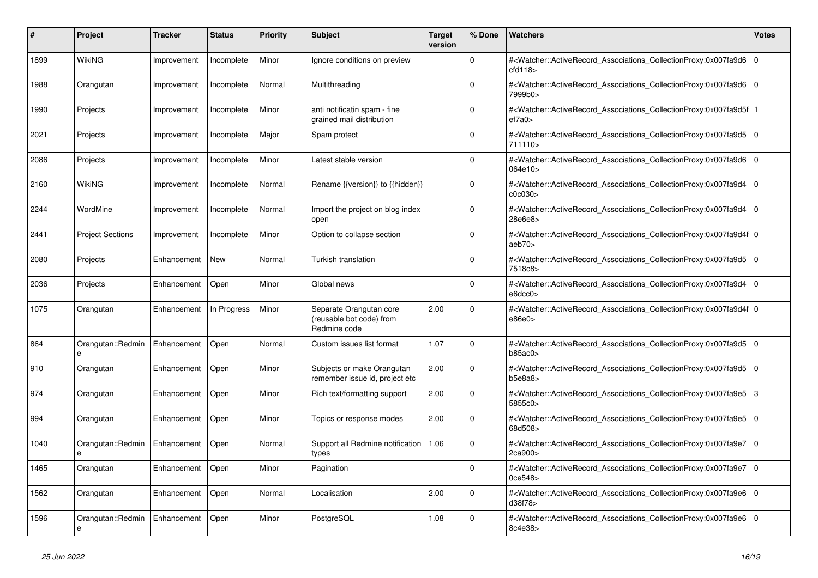| #    | <b>Project</b>          | <b>Tracker</b> | <b>Status</b> | <b>Priority</b> | <b>Subject</b>                                                      | <b>Target</b><br>version | % Done      | <b>Watchers</b>                                                                                                                                           | <b>Votes</b> |
|------|-------------------------|----------------|---------------|-----------------|---------------------------------------------------------------------|--------------------------|-------------|-----------------------------------------------------------------------------------------------------------------------------------------------------------|--------------|
| 1899 | WikiNG                  | Improvement    | Incomplete    | Minor           | Ignore conditions on preview                                        |                          | $\Omega$    | # <watcher::activerecord_associations_collectionproxy:0x007fa9d6<br>cd118</watcher::activerecord_associations_collectionproxy:0x007fa9d6<br>              | 0            |
| 1988 | Orangutan               | Improvement    | Incomplete    | Normal          | Multithreading                                                      |                          | $\Omega$    | # <watcher::activerecord_associations_collectionproxy:0x007fa9d6 0<br="">7999b0&gt;</watcher::activerecord_associations_collectionproxy:0x007fa9d6>       |              |
| 1990 | Projects                | Improvement    | Incomplete    | Minor           | anti notificatin spam - fine<br>grained mail distribution           |                          | $\Omega$    | # <watcher::activerecord 1<br="" associations="" collectionproxy:0x007fa9d5f=""  ="">ef7a0&gt;</watcher::activerecord>                                    |              |
| 2021 | Projects                | Improvement    | Incomplete    | Major           | Spam protect                                                        |                          | $\Omega$    | # <watcher::activerecord_associations_collectionproxy:0x007fa9d5<br>711110</watcher::activerecord_associations_collectionproxy:0x007fa9d5<br>             | l 0          |
| 2086 | Projects                | Improvement    | Incomplete    | Minor           | Latest stable version                                               |                          | $\Omega$    | # <watcher::activerecord_associations_collectionproxy:0x007fa9d6 0<br="">064e10&gt;</watcher::activerecord_associations_collectionproxy:0x007fa9d6>       |              |
| 2160 | WikiNG                  | Improvement    | Incomplete    | Normal          | Rename {{version}} to {{hidden}}                                    |                          | $\Omega$    | # <watcher::activerecord 0<br="" associations="" collectionproxy:0x007fa9d4=""  ="">c0c030&gt;</watcher::activerecord>                                    |              |
| 2244 | WordMine                | Improvement    | Incomplete    | Normal          | Import the project on blog index<br>open                            |                          | $\Omega$    | # <watcher::activerecord associations="" collectionproxy:0x007fa9d4<br="">28e6e8&gt;</watcher::activerecord>                                              | $\mathbf 0$  |
| 2441 | <b>Project Sections</b> | Improvement    | Incomplete    | Minor           | Option to collapse section                                          |                          | $\Omega$    | # <watcher::activerecord_associations_collectionproxy:0x007fa9d4f 0<br=""  ="">aeb70&gt;</watcher::activerecord_associations_collectionproxy:0x007fa9d4f> |              |
| 2080 | Projects                | Enhancement    | New           | Normal          | Turkish translation                                                 |                          | $\mathbf 0$ | # <watcher::activerecord_associations_collectionproxy:0x007fa9d5 0<br=""  ="">7518c8&gt;</watcher::activerecord_associations_collectionproxy:0x007fa9d5>  |              |
| 2036 | Projects                | Enhancement    | Open          | Minor           | Global news                                                         |                          | $\Omega$    | # <watcher::activerecord associations="" collectionproxy:0x007fa9d4<br="">efdcc0</watcher::activerecord>                                                  | l 0          |
| 1075 | Orangutan               | Enhancement    | In Progress   | Minor           | Separate Orangutan core<br>(reusable bot code) from<br>Redmine code | 2.00                     | $\Omega$    | # <watcher::activerecord_associations_collectionproxy:0x007fa9d4f 0<br=""  ="">e86e0</watcher::activerecord_associations_collectionproxy:0x007fa9d4f>     |              |
| 864  | Orangutan::Redmin<br>e  | Enhancement    | Open          | Normal          | Custom issues list format                                           | 1.07                     | $\mathbf 0$ | # <watcher::activerecord 0<br="" associations="" collectionproxy:0x007fa9d5=""  ="">b85ac0&gt;</watcher::activerecord>                                    |              |
| 910  | Orangutan               | Enhancement    | Open          | Minor           | Subjects or make Orangutan<br>remember issue id, project etc        | 2.00                     | $\Omega$    | # <watcher::activerecord_associations_collectionproxy:0x007fa9d5<br>b5e8a8</watcher::activerecord_associations_collectionproxy:0x007fa9d5<br>             | $\Omega$     |
| 974  | Orangutan               | Enhancement    | Open          | Minor           | Rich text/formatting support                                        | 2.00                     | $\Omega$    | # <watcher::activerecord_associations_collectionproxy:0x007fa9e5 3<br="">5855c0&gt;</watcher::activerecord_associations_collectionproxy:0x007fa9e5>       |              |
| 994  | Orangutan               | Enhancement    | Open          | Minor           | Topics or response modes                                            | 2.00                     | $\mathbf 0$ | # <watcher::activerecord 0<br="" associations="" collectionproxy:0x007fa9e5=""  ="">68d508&gt;</watcher::activerecord>                                    |              |
| 1040 | Orangutan::Redmin<br>e  | Enhancement    | Open          | Normal          | Support all Redmine notification<br>types                           | 1.06                     | $\Omega$    | # <watcher::activerecord_associations_collectionproxy:0x007fa9e7<br>2ca900&gt;</watcher::activerecord_associations_collectionproxy:0x007fa9e7<br>         | l O          |
| 1465 | Orangutan               | Enhancement    | Open          | Minor           | Pagination                                                          |                          | $\Omega$    | # <watcher::activerecord 0<br="" associations="" collectionproxy:0x007fa9e7=""  ="">0ce548&gt;</watcher::activerecord>                                    |              |
| 1562 | Orangutan               | Enhancement    | Open          | Normal          | Localisation                                                        | 2.00                     | $\mathbf 0$ | # <watcher::activerecord_associations_collectionproxy:0x007fa9e6 0<br=""  ="">d38f78&gt;</watcher::activerecord_associations_collectionproxy:0x007fa9e6>  |              |
| 1596 | Orangutan::Redmin<br>e  | Enhancement    | Open          | Minor           | PostgreSQL                                                          | 1.08                     | $\Omega$    | # <watcher::activerecord_associations_collectionproxy:0x007fa9e6<br>8c4e38&gt;</watcher::activerecord_associations_collectionproxy:0x007fa9e6<br>         | l o          |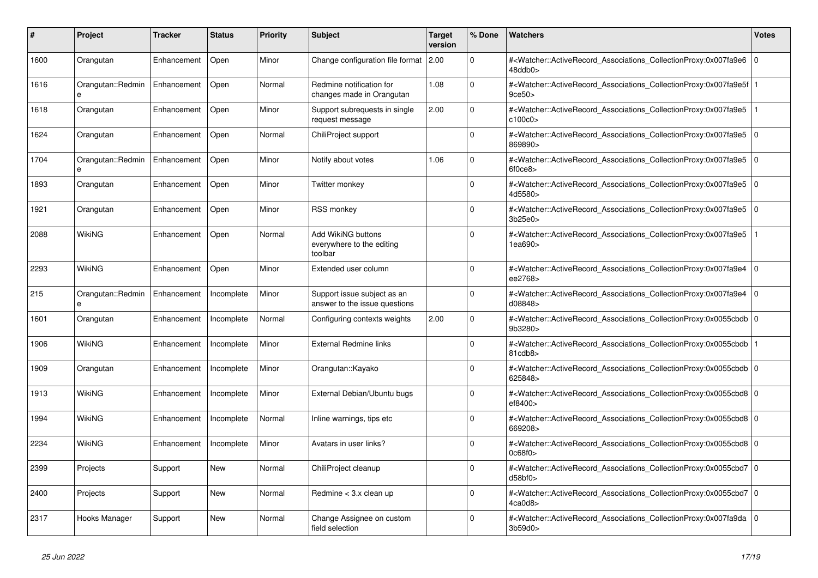| #    | <b>Project</b>         | <b>Tracker</b> | <b>Status</b> | <b>Priority</b> | <b>Subject</b>                                               | <b>Target</b><br>version | % Done   | <b>Watchers</b>                                                                                                                                          | <b>Votes</b> |
|------|------------------------|----------------|---------------|-----------------|--------------------------------------------------------------|--------------------------|----------|----------------------------------------------------------------------------------------------------------------------------------------------------------|--------------|
| 1600 | Orangutan              | Enhancement    | Open          | Minor           | Change configuration file format                             | 2.00                     | $\Omega$ | # <watcher::activerecord_associations_collectionproxy:0x007fa9e6<br>48ddb0&gt;</watcher::activerecord_associations_collectionproxy:0x007fa9e6<br>        | $\mathbf 0$  |
| 1616 | Orangutan::Redmin<br>e | Enhancement    | Open          | Normal          | Redmine notification for<br>changes made in Orangutan        | 1.08                     | $\Omega$ | # <watcher::activerecord associations="" collectionproxy:0x007fa9e5f<br="">9ce50</watcher::activerecord>                                                 |              |
| 1618 | Orangutan              | Enhancement    | Open          | Minor           | Support subrequests in single<br>request message             | 2.00                     | $\Omega$ | # <watcher::activerecord associations="" collectionproxy:0x007fa9e5<br="">c100c0</watcher::activerecord>                                                 |              |
| 1624 | Orangutan              | Enhancement    | Open          | Normal          | ChiliProject support                                         |                          | $\Omega$ | # <watcher::activerecord associations="" collectionproxy:0x007fa9e5<br="">869890&gt;</watcher::activerecord>                                             | $\mathbf 0$  |
| 1704 | Orangutan::Redmin<br>e | Enhancement    | Open          | Minor           | Notify about votes                                           | 1.06                     | $\Omega$ | # <watcher::activerecord associations="" collectionproxy:0x007fa9e5<br="">6f0ce8</watcher::activerecord>                                                 | $\Omega$     |
| 1893 | Orangutan              | Enhancement    | Open          | Minor           | Twitter monkey                                               |                          | $\Omega$ | # <watcher::activerecord 0<br="" associations="" collectionproxy:0x007fa9e5=""  ="">4d5580&gt;</watcher::activerecord>                                   |              |
| 1921 | Orangutan              | Enhancement    | Open          | Minor           | <b>RSS monkey</b>                                            |                          | $\Omega$ | # <watcher::activerecord associations="" collectionproxy:0x007fa9e5<br="">3b25e0&gt;</watcher::activerecord>                                             | $\mathbf 0$  |
| 2088 | <b>WikiNG</b>          | Enhancement    | Open          | Normal          | Add WikiNG buttons<br>everywhere to the editing<br>toolbar   |                          | $\Omega$ | # <watcher::activerecord_associations_collectionproxy:0x007fa9e5<br>1ea690&gt;</watcher::activerecord_associations_collectionproxy:0x007fa9e5<br>        |              |
| 2293 | WikiNG                 | Enhancement    | Open          | Minor           | Extended user column                                         |                          | $\Omega$ | # <watcher::activerecord_associations_collectionproxy:0x007fa9e4 0<br=""  ="">ee2768&gt;</watcher::activerecord_associations_collectionproxy:0x007fa9e4> |              |
| 215  | Orangutan::Redmin      | Enhancement    | Incomplete    | Minor           | Support issue subject as an<br>answer to the issue questions |                          | $\Omega$ | # <watcher::activerecord associations="" collectionproxy:0x007fa9e4<br="">d08848&gt;</watcher::activerecord>                                             | $\Omega$     |
| 1601 | Orangutan              | Enhancement    | Incomplete    | Normal          | Configuring contexts weights                                 | 2.00                     | $\Omega$ | # <watcher::activerecord 0<br="" associations="" collectionproxy:0x0055cbdb=""  ="">9b3280&gt;</watcher::activerecord>                                   |              |
| 1906 | WikiNG                 | Enhancement    | Incomplete    | Minor           | <b>External Redmine links</b>                                |                          | $\Omega$ | # <watcher::activerecord associations="" collectionproxy:0x0055cbdb=""  <br="">81cdb8&gt;</watcher::activerecord>                                        |              |
| 1909 | Orangutan              | Enhancement    | Incomplete    | Minor           | Orangutan::Kayako                                            |                          | $\Omega$ | # <watcher::activerecord_associations_collectionproxy:0x0055cbdb 0<br=""  ="">625848&gt;</watcher::activerecord_associations_collectionproxy:0x0055cbdb> |              |
| 1913 | <b>WikiNG</b>          | Enhancement    | Incomplete    | Minor           | External Debian/Ubuntu bugs                                  |                          | $\Omega$ | # <watcher::activerecord 0<br="" associations="" collectionproxy:0x0055cbd8=""  ="">ef8400&gt;</watcher::activerecord>                                   |              |
| 1994 | <b>WikiNG</b>          | Enhancement    | Incomplete    | Normal          | Inline warnings, tips etc                                    |                          | $\Omega$ | # <watcher::activerecord 0<br="" associations="" collectionproxy:0x0055cbd8=""  ="">669208&gt;</watcher::activerecord>                                   |              |
| 2234 | WikiNG                 | Enhancement    | Incomplete    | Minor           | Avatars in user links?                                       |                          | $\Omega$ | # <watcher::activerecord_associations_collectionproxy:0x0055cbd8 0<br=""  ="">0c68f0</watcher::activerecord_associations_collectionproxy:0x0055cbd8>     |              |
| 2399 | Projects               | Support        | New           | Normal          | ChiliProject cleanup                                         |                          | $\Omega$ | # <watcher::activerecord 0<br="" associations="" collectionproxy:0x0055cbd7=""  ="">d58b f0</watcher::activerecord>                                      |              |
| 2400 | Projects               | Support        | <b>New</b>    | Normal          | Redmine $<$ 3.x clean up                                     |                          | $\Omega$ | # <watcher::activerecord_associations_collectionproxy:0x0055cbd7 0<br=""  ="">4ca0d8&gt;</watcher::activerecord_associations_collectionproxy:0x0055cbd7> |              |
| 2317 | Hooks Manager          | Support        | <b>New</b>    | Normal          | Change Assignee on custom<br>field selection                 |                          | $\Omega$ | # <watcher::activerecord_associations_collectionproxy:0x007fa9da  <br="">3b59d0&gt;</watcher::activerecord_associations_collectionproxy:0x007fa9da>      | $\Omega$     |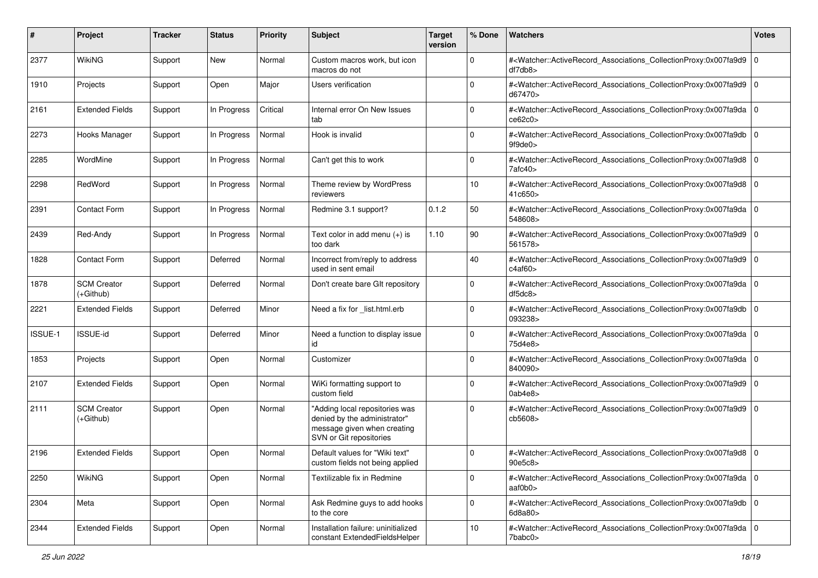| #       | Project                           | <b>Tracker</b> | <b>Status</b> | <b>Priority</b> | <b>Subject</b>                                                                                                           | <b>Target</b><br>version | % Done      | Watchers                                                                                                                                                 | <b>Votes</b> |
|---------|-----------------------------------|----------------|---------------|-----------------|--------------------------------------------------------------------------------------------------------------------------|--------------------------|-------------|----------------------------------------------------------------------------------------------------------------------------------------------------------|--------------|
| 2377    | <b>WikiNG</b>                     | Support        | New           | Normal          | Custom macros work, but icon<br>macros do not                                                                            |                          | 0           | # <watcher::activerecord_associations_collectionproxy:0x007fa9d9<br>df7db8</watcher::activerecord_associations_collectionproxy:0x007fa9d9<br>            | l O          |
| 1910    | Projects                          | Support        | Open          | Major           | Users verification                                                                                                       |                          | $\Omega$    | # <watcher::activerecord_associations_collectionproxy:0x007fa9d9 0<br="">d67470&gt;</watcher::activerecord_associations_collectionproxy:0x007fa9d9>      |              |
| 2161    | <b>Extended Fields</b>            | Support        | In Progress   | Critical        | Internal error On New Issues<br>tab                                                                                      |                          | $\Omega$    | # <watcher::activerecord_associations_collectionproxy:0x007fa9da 0<br=""  ="">ce62c0&gt;</watcher::activerecord_associations_collectionproxy:0x007fa9da> |              |
| 2273    | Hooks Manager                     | Support        | In Progress   | Normal          | Hook is invalid                                                                                                          |                          | 0           | # <watcher::activerecord associations="" collectionproxy:0x007fa9db<br="">9f9de0</watcher::activerecord>                                                 | l 0          |
| 2285    | WordMine                          | Support        | In Progress   | Normal          | Can't get this to work                                                                                                   |                          | $\Omega$    | # <watcher::activerecord_associations_collectionproxy:0x007fa9d8 0<br=""  ="">7afc40&gt;</watcher::activerecord_associations_collectionproxy:0x007fa9d8> |              |
| 2298    | RedWord                           | Support        | In Progress   | Normal          | Theme review by WordPress<br>reviewers                                                                                   |                          | 10          | # <watcher::activerecord_associations_collectionproxy:0x007fa9d8<br>41c650&gt;</watcher::activerecord_associations_collectionproxy:0x007fa9d8<br>        | l O          |
| 2391    | Contact Form                      | Support        | In Progress   | Normal          | Redmine 3.1 support?                                                                                                     | 0.1.2                    | 50          | # <watcher::activerecord_associations_collectionproxy:0x007fa9da<br>548608&gt;</watcher::activerecord_associations_collectionproxy:0x007fa9da<br>        | l 0          |
| 2439    | Red-Andy                          | Support        | In Progress   | Normal          | Text color in add menu (+) is<br>too dark                                                                                | 1.10                     | 90          | # <watcher::activerecord_associations_collectionproxy:0x007fa9d9 0<br=""  ="">561578&gt;</watcher::activerecord_associations_collectionproxy:0x007fa9d9> |              |
| 1828    | Contact Form                      | Support        | Deferred      | Normal          | Incorrect from/reply to address<br>used in sent email                                                                    |                          | 40          | # <watcher::activerecord_associations_collectionproxy:0x007fa9d9 0<br=""  ="">c4af60&gt;</watcher::activerecord_associations_collectionproxy:0x007fa9d9> |              |
| 1878    | <b>SCM Creator</b><br>$(+Github)$ | Support        | Deferred      | Normal          | Don't create bare GIt repository                                                                                         |                          | $\Omega$    | # <watcher::activerecord_associations_collectionproxy:0x007fa9da 0<br=""  ="">df5dc8</watcher::activerecord_associations_collectionproxy:0x007fa9da>     |              |
| 2221    | <b>Extended Fields</b>            | Support        | Deferred      | Minor           | Need a fix for _list.html.erb                                                                                            |                          | 0           | # <watcher::activerecord_associations_collectionproxy:0x007fa9db<br>093238&gt;</watcher::activerecord_associations_collectionproxy:0x007fa9db<br>        | 0            |
| ISSUE-1 | <b>ISSUE-id</b>                   | Support        | Deferred      | Minor           | Need a function to display issue<br>id                                                                                   |                          | $\Omega$    | # <watcher::activerecord_associations_collectionproxy:0x007fa9da 0<br=""  ="">75d4e8&gt;</watcher::activerecord_associations_collectionproxy:0x007fa9da> |              |
| 1853    | Projects                          | Support        | Open          | Normal          | Customizer                                                                                                               |                          | $\Omega$    | # <watcher::activerecord_associations_collectionproxy:0x007fa9da<br>840090&gt;</watcher::activerecord_associations_collectionproxy:0x007fa9da<br>        | l O          |
| 2107    | <b>Extended Fields</b>            | Support        | Open          | Normal          | WiKi formatting support to<br>custom field                                                                               |                          | $\Omega$    | # <watcher::activerecord_associations_collectionproxy:0x007fa9d9<br>0ab4e8</watcher::activerecord_associations_collectionproxy:0x007fa9d9<br>            | l O          |
| 2111    | <b>SCM Creator</b><br>(+Github)   | Support        | Open          | Normal          | "Adding local repositories was<br>denied by the administrator"<br>message given when creating<br>SVN or Git repositories |                          | $\mathbf 0$ | # <watcher::activerecord_associations_collectionproxy:0x007fa9d9<br>cb5608&gt;</watcher::activerecord_associations_collectionproxy:0x007fa9d9<br>        | l O          |
| 2196    | <b>Extended Fields</b>            | Support        | Open          | Normal          | Default values for "Wiki text"<br>custom fields not being applied                                                        |                          | $\Omega$    | # <watcher::activerecord_associations_collectionproxy:0x007fa9d8 0<br="">90e5c8&gt;</watcher::activerecord_associations_collectionproxy:0x007fa9d8>      |              |
| 2250    | WikiNG                            | Support        | Open          | Normal          | Textilizable fix in Redmine                                                                                              |                          | $\mathbf 0$ | # <watcher::activerecord 0<br="" associations="" collectionproxy:0x007fa9da="">aaf0b0&gt;</watcher::activerecord>                                        |              |
| 2304    | Meta                              | Support        | Open          | Normal          | Ask Redmine guys to add hooks<br>to the core                                                                             |                          | $\mathbf 0$ | # <watcher::activerecord_associations_collectionproxy:0x007fa9db 0<br="">6d8a80</watcher::activerecord_associations_collectionproxy:0x007fa9db>          |              |
| 2344    | <b>Extended Fields</b>            | Support        | Open          | Normal          | Installation failure: uninitialized<br>constant ExtendedFieldsHelper                                                     |                          | 10          | # <watcher::activerecord_associations_collectionproxy:0x007fa9da 0<br="">7babc0&gt;</watcher::activerecord_associations_collectionproxy:0x007fa9da>      |              |